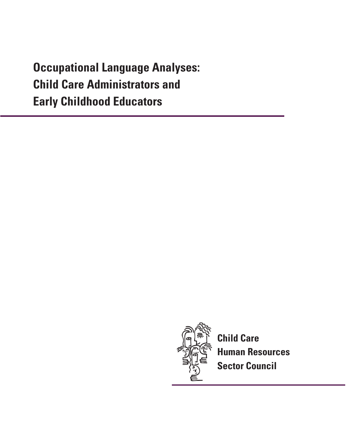# **Occupational Language Analyses: Child Care Administrators and Early Childhood Educators**



**Child Care Human Resources Sector Council**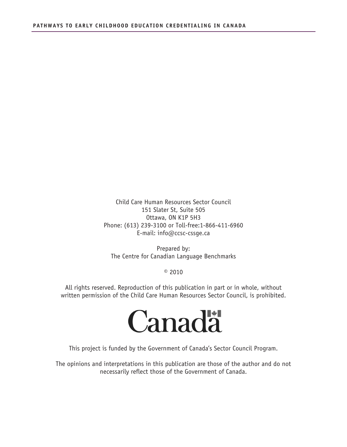Child Care Human Resources Sector Council 151 Slater St, Suite 505 Ottawa, ON K1P 5H3 Phone: (613) 239-3100 or Toll-free:1-866-411-6960 E-mail: info@ccsc-cssge.ca

Prepared by: The Centre for Canadian Language Benchmarks

 $© 2010$ 

All rights reserved. Reproduction of this publication in part or in whole, without written permission of the Child Care Human Resources Sector Council, is prohibited.



This project is funded by the Government of Canada's Sector Council Program.

The opinions and interpretations in this publication are those of the author and do not necessarily reflect those of the Government of Canada.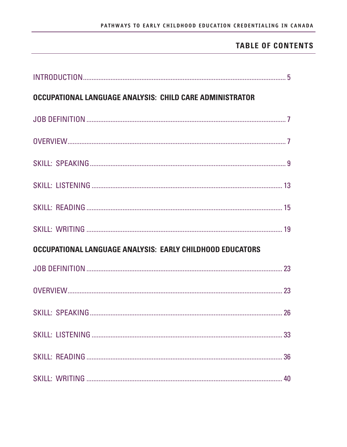## **TABLE OF CONTENTS**

| OCCUPATIONAL LANGUAGE ANALYSIS: CHILD CARE ADMINISTRATOR  |    |
|-----------------------------------------------------------|----|
|                                                           |    |
|                                                           |    |
|                                                           |    |
|                                                           |    |
|                                                           |    |
|                                                           |    |
| OCCUPATIONAL LANGUAGE ANALYSIS: EARLY CHILDHOOD EDUCATORS |    |
|                                                           |    |
|                                                           |    |
|                                                           |    |
|                                                           | 33 |
|                                                           |    |
|                                                           | 40 |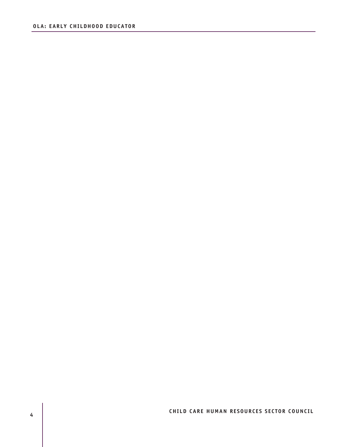## **CHILD CARE HUMAN RESOURCES SECTOR COUNCIL 4**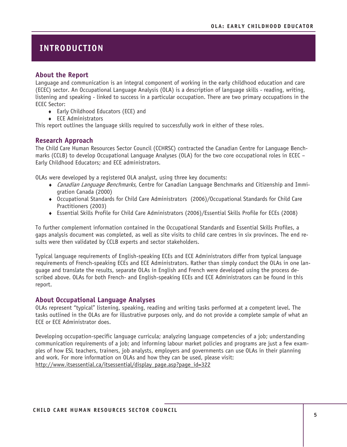## **INTRODUCTION**

#### **About the Report**

Language and communication is an integral component of working in the early childhood education and care (ECEC) sector. An Occupational Language Analysis (OLA) is a description of language skills - reading, writing, listening and speaking - linked to success in a particular occupation. There are two primary occupations in the ECEC Sector:

- ♦ Early Childhood Educators (ECE) and
- ♦ ECE Administrators

This report outlines the language skills required to successfully work in either of these roles.

#### **Research Approach**

The Child Care Human Resources Sector Council (CCHRSC) contracted the Canadian Centre for Language Benchmarks (CCLB) to develop Occupational Language Analyses (OLA) for the two core occupational roles in ECEC – Early Childhood Educators; and ECE administrators.

OLAs were developed by a registered OLA analyst, using three key documents:

- ◆ *Canadian Language Benchmarks*, Centre for Canadian Language Benchmarks and Citizenship and Immigration Canada (2000)
- ♦ Occupational Standards for Child Care Administrators (2006)/Occupational Standards for Child Care Practitioners (2003)
- ♦ Essential Skills Profile for Child Care Administrators (2006)/Essential Skills Profile for ECEs (2008)

To further complement information contained in the Occupational Standards and Essential Skills Profiles, a gaps analysis document was completed, as well as site visits to child care centres in six provinces. The end results were then validated by CCLB experts and sector stakeholders.

Typical language requirements of English-speaking ECEs and ECE Administrators differ from typical language requirements of French-speaking ECEs and ECE Administrators. Rather than simply conduct the OLAs in one language and translate the results, separate OLAs in English and French were developed using the process described above. OLAs for both French- and English-speaking ECEs and ECE Administrators can be found in this report.

#### **About Occupational Language Analyses**

OLAs represent "typical" listening, speaking, reading and writing tasks performed at a competent level. The tasks outlined in the OLAs are for illustrative purposes only, and do not provide a complete sample of what an ECE or ECE Administrator does.

Developing occupation-specific language curricula; analyzing language competencies of a job; understanding communication requirements of a job; and informing labour market policies and programs are just a few examples of how ESL teachers, trainers, job analysts, employers and governments can use OLAs in their planning and work. For more information on OLAs and how they can be used, please visit: http://www.itsessential.ca/itsessential/display\_page.asp?page\_id=322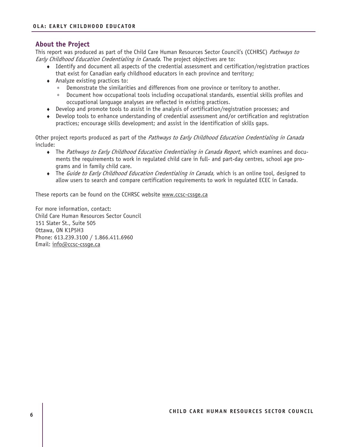### **About the Project**

This report was produced as part of the Child Care Human Resources Sector Council's (CCHRSC) Pathways to Early Childhood Education Credentialing in Canada. The project objectives are to:

- ♦ Identify and document all aspects of the credential assessment and certification/registration practices that exist for Canadian early childhood educators in each province and territory;
- ♦ Analyze existing practices to:
	- ∗ Demonstrate the similarities and differences from one province or territory to another.
	- Document how occupational tools including occupational standards, essential skills profiles and occupational language analyses are reflected in existing practices.
- ♦ Develop and promote tools to assist in the analysis of certification/registration processes; and
- ♦ Develop tools to enhance understanding of credential assessment and/or certification and registration practices; encourage skills development; and assist in the identification of skills gaps.

Other project reports produced as part of the Pathways to Early Childhood Education Credentialing in Canada include:

- The Pathways to Early Childhood Education Credentialing in Canada Report, which examines and documents the requirements to work in regulated child care in full- and part-day centres, school age programs and in family child care.
- ♦ The Guide to Early Childhood Education Credentialing in Canada, which is an online tool, designed to allow users to search and compare certification requirements to work in regulated ECEC in Canada.

These reports can be found on the CCHRSC website www.ccsc-cssge.ca

For more information, contact: Child Care Human Resources Sector Council 151 Slater St., Suite 505 Ottawa, ON K1P5H3 Phone: 613.239.3100 / 1.866.411.6960 Email: info@ccsc-cssge.ca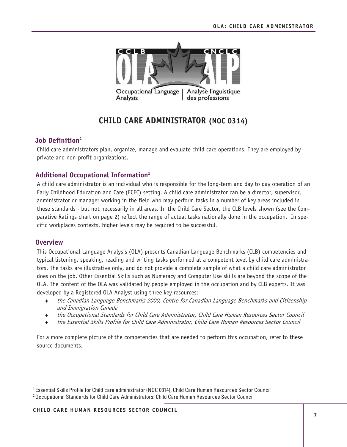

## **CHILD CARE ADMINISTRATOR (NOC 0314)**

## **Job Definition<sup>1</sup>**

Child care administrators plan, organize, manage and evaluate child care operations. They are employed by private and non-profit organizations.

## **Additional Occupational Information<sup>2</sup>**

A child care administrator is an individual who is responsible for the long-term and day to day operation of an Early Childhood Education and Care (ECEC) setting. A child care administrator can be a director, supervisor, administrator or manager working in the field who may perform tasks in a number of key areas included in these standards - but not necessarily in all areas. In the Child Care Sector, the CLB levels shown (see the Comparative Ratings chart on page 2) reflect the range of actual tasks nationally done in the occupation. In specific workplaces contexts, higher levels may be required to be successful.

## **Overview**

This Occupational Language Analysis (OLA) presents Canadian Language Benchmarks (CLB) competencies and typical listening, speaking, reading and writing tasks performed at a competent level by child care administrators. The tasks are illustrative only, and do not provide a complete sample of what a child care administrator does on the job. Other Essential Skills such as Numeracy and Computer Use skills are beyond the scope of the OLA. The content of the OLA was validated by people employed in the occupation and by CLB experts. It was developed by a Registered OLA Analyst using three key resources:

- ♦ the Canadian Language Benchmarks 2000, Centre for Canadian Language Benchmarks and Citizenship and Immigration Canada
- the Occupational Standards for Child Care Administrator, Child Care Human Resources Sector Council
- ♦ the Essential Skills Profile for Child Care Administrator, Child Care Human Resources Sector Council

For a more complete picture of the competencies that are needed to perform this occupation, refer to these source documents.

<sup>1</sup>Essential Skills Profile for Child care administrator (NOC 0314), Child Care Human Resources Sector Council 2 Occupational Standards for Child Care Administrators: Child Care Human Resources Sector Council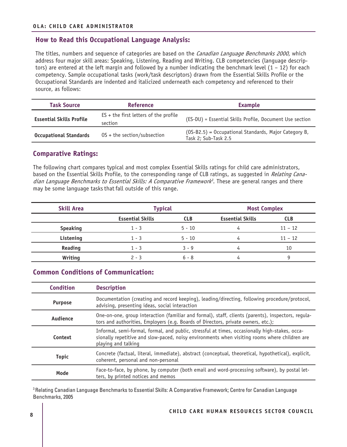## **How to Read this Occupational Language Analysis:**

The titles, numbers and sequence of categories are based on the *Canadian Language Benchmarks 2000*, which address four major skill areas: Speaking, Listening, Reading and Writing. CLB competencies (language descriptors) are entered at the left margin and followed by a number indicating the benchmark level (1 – 12) for each competency. Sample occupational tasks (work/task descriptors) drawn from the Essential Skills Profile or the Occupational Standards are indented and italicized underneath each competency and referenced to their source, as follows:

| <b>Task Source</b>              | <b>Reference</b>                                   | <b>Example</b>                                                                |
|---------------------------------|----------------------------------------------------|-------------------------------------------------------------------------------|
| <b>Essential Skills Profile</b> | $ES +$ the first letters of the profile<br>section | (ES-DU) = Essential Skills Profile, Document Use section                      |
| <b>Occupational Standards</b>   | $OS +$ the section/subsection                      | (OS-B2.5) = Occupational Standards, Major Category B,<br>Task 2: Sub-Task 2.5 |

## **Comparative Ratings:**

The following chart compares typical and most complex Essential Skills ratings for child care administrators, based on the Essential Skills Profile, to the corresponding range of CLB ratings, as suggested in Relating Canadian Language Benchmarks to Essential Skills: A Comparative Framework<sup>3</sup>. These are general ranges and there may be some language tasks that fall outside of this range.

| <b>Skill Area</b> | <b>Typical</b>          |            | <b>Most Complex</b>     |            |
|-------------------|-------------------------|------------|-------------------------|------------|
|                   | <b>Essential Skills</b> | <b>CLB</b> | <b>Essential Skills</b> | <b>CLB</b> |
| <b>Speaking</b>   | $1 - 3$                 | $5 - 10$   | 4                       | $11 - 12$  |
| Listening         | $1 - 3$                 | $5 - 10$   | 4                       | $11 - 12$  |
| Reading           | $1 - 3$                 | $3 - 9$    | 4                       | 10         |
| Writing           | $2 - 3$                 | $6 - 8$    | 4                       | q          |

## **Common Conditions of Communication:**

| <b>Condition</b> | <b>Description</b>                                                                                                                                                                                                     |
|------------------|------------------------------------------------------------------------------------------------------------------------------------------------------------------------------------------------------------------------|
| <b>Purpose</b>   | Documentation (creating and record keeping), leading/directing, following procedure/protocol,<br>advising, presenting ideas, social interaction                                                                        |
| Audience         | One-on-one, group interaction (familiar and formal), staff, clients (parents), inspectors, regula-<br>tors and authorities, Employers (e.g. Boards of Directors, private owners, etc.);                                |
| Context          | Informal, semi-formal, formal, and public, stressful at times, occasionally high-stakes, occa-<br>sionally repetitive and slow-paced, noisy environments when visiting rooms where children are<br>playing and talking |
| <b>Topic</b>     | Concrete (factual, literal, immediate), abstract (conceptual, theoretical, hypothetical), explicit,<br>coherent, personal and non-personal                                                                             |
| Mode             | Face-to-face, by phone, by computer (both email and word-processing software), by postal let-<br>ters, by printed notices and memos                                                                                    |

<sup>3</sup> Relating Canadian Language Benchmarks to Essential Skills: A Comparative Framework; Centre for Canadian Language Benchmarks, 2005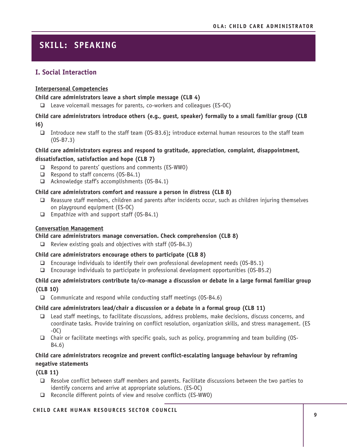## **SKILL: SPEAKING**

## **I. Social Interaction**

#### **Interpersonal Competencies**

#### **Child care administrators leave a short simple message (CLB 4)**

 $\Box$  Leave voicemail messages for parents, co-workers and colleagues (ES-OC)

#### **Child care administrators introduce others (e.g., guest, speaker) formally to a small familiar group (CLB i6)**

Introduce new staff to the staff team (OS-B3.6); introduce external human resources to the staff team (OS-B7.3)

### **Child care administrators express and respond to gratitude, appreciation, complaint, disappointment, dissatisfaction, satisfaction and hope (CLB 7)**

- $\Box$  Respond to parents' questions and comments (ES-WWO)
- Respond to staff concerns (0S-B4.1)
- $\Box$  Acknowledge staff's accomplishments (OS-B4.1)

#### **Child care administrators comfort and reassure a person in distress (CLB 8)**

- □ Reassure staff members, children and parents after incidents occur, such as children injuring themselves on playground equipment (ES-OC)
- $\Box$  Empathize with and support staff (OS-B4.1)

#### **Conversation Management**

#### **Child care administrators manage conversation. Check comprehension (CLB 8)**

 $\Box$  Review existing goals and objectives with staff (OS-B4.3)

#### **Child care administrators encourage others to participate (CLB 8)**

- $\Box$  Encourage individuals to identify their own professional development needs (0S-B5.1)
- Encourage individuals to participate in professional development opportunities (OS-B5.2)

## **Child care administrators contribute to/co-manage a discussion or debate in a large formal familiar group**

#### **(CLB 10)**

 $\Box$  Communicate and respond while conducting staff meetings (OS-B4.6)

#### **Child care administrators lead/chair a discussion or a debate in a formal group (CLB 11)**

- Lead staff meetings, to facilitate discussions, address problems, make decisions, discuss concerns, and coordinate tasks. Provide training on conflict resolution, organization skills, and stress management. (ES -OC)
- $\Box$  Chair or facilitate meetings with specific goals, such as policy, programming and team building (OS-B4.6)

#### **Child care administrators recognize and prevent conflict-escalating language behaviour by reframing negative statements**

#### **(CLB 11)**

- $\Box$  Resolve conflict between staff members and parents. Facilitate discussions between the two parties to identify concerns and arrive at appropriate solutions. (ES-OC)
- $\Box$  Reconcile different points of view and resolve conflicts (ES-WWO)

## **CHILD CARE HUMAN RESOURCES SECTOR COUNCIL**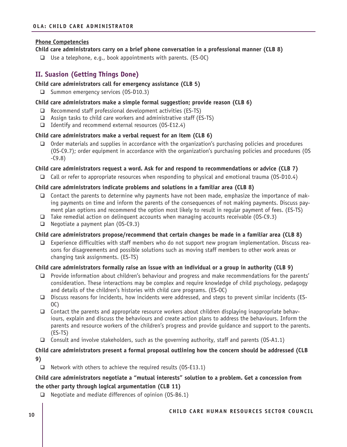#### **Phone Competencies**

#### **Child care administrators carry on a brief phone conversation in a professional manner (CLB 8)**

 $\Box$  Use a telephone, e.g., book appointments with parents. (ES-OC)

## **II. Suasion (Getting Things Done)**

#### **Child care administrators call for emergency assistance (CLB 5)**

□ Summon emergency services (0S-D10.3)

#### **Child care administrators make a simple formal suggestion; provide reason (CLB 6)**

- $\Box$  Recommend staff professional development activities (ES-TS)
- $\Box$  Assign tasks to child care workers and administrative staff (ES-TS)
- $\Box$  Identify and recommend external resources (OS-E12.4)

#### **Child care administrators make a verbal request for an item (CLB 6)**

 $\Box$  Order materials and supplies in accordance with the organization's purchasing policies and procedures (OS-C9.7); order equipment in accordance with the organization's purchasing policies and procedures (OS -C9.8)

#### **Child care administrators request a word. Ask for and respond to recommendations or advice (CLB 7)**

 $\Box$  Call or refer to appropriate resources when responding to physical and emotional trauma (0S-D10.4)

#### **Child care administrators indicate problems and solutions in a familiar area (CLB 8)**

- $\Box$  Contact the parents to determine why payments have not been made, emphasize the importance of making payments on time and inform the parents of the consequences of not making payments. Discuss payment plan options and recommend the option most likely to result in regular payment of fees. (ES-TS)
- $\Box$  Take remedial action on delinquent accounts when managing accounts receivable (0S-C9.3)
- $\Box$  Negotiate a payment plan (0S-C9.3)

#### **Child care administrators propose/recommend that certain changes be made in a familiar area (CLB 8)**

 $\Box$  Experience difficulties with staff members who do not support new program implementation. Discuss reasons for disagreements and possible solutions such as moving staff members to other work areas or changing task assignments. (ES-TS)

#### **Child care administrators formally raise an issue with an individual or a group in authority (CLB 9)**

- $\Box$  Provide information about children's behaviour and progress and make recommendations for the parents' consideration. These interactions may be complex and require knowledge of child psychology, pedagogy and details of the children's histories with child care programs. (ES-OC)
- Discuss reasons for incidents, how incidents were addressed, and steps to prevent similar incidents (ES- $O(1)$
- $\Box$  Contact the parents and appropriate resource workers about children displaying inappropriate behaviours, explain and discuss the behaviours and create action plans to address the behaviours. Inform the parents and resource workers of the children's progress and provide guidance and support to the parents. (ES-TS)
- $\Box$  Consult and involve stakeholders, such as the governing authority, staff and parents (0S-A1.1)

#### **Child care administrators present a formal proposal outlining how the concern should be addressed (CLB 9)**

 $\Box$  Network with others to achieve the required results (OS-E13.1)

## **Child care administrators negotiate a "mutual interests" solution to a problem. Get a concession from the other party through logical argumentation (CLB 11)**

 $\Box$  Negotiate and mediate differences of opinion (OS-B6.1)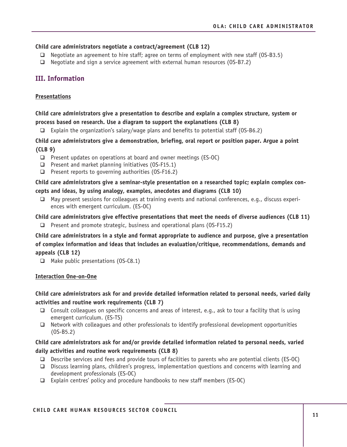#### **Child care administrators negotiate a contract/agreement (CLB 12)**

- $\Box$  Negotiate an agreement to hire staff; agree on terms of employment with new staff (0S-B3.5)
- $\Box$  Negotiate and sign a service agreement with external human resources (OS-B7.2)

## **III. Information**

#### **Presentations**

**Child care administrators give a presentation to describe and explain a complex structure, system or process based on research. Use a diagram to support the explanations (CLB 8)** 

 $\Box$  Explain the organization's salary/wage plans and benefits to potential staff (0S-B6.2)

**Child care administrators give a demonstration, briefing, oral report or position paper. Argue a point (CLB 9)** 

- $\Box$  Present updates on operations at board and owner meetings (ES-OC)
- $\Box$  Present and market planning initiatives (OS-F15.1)
- $\Box$  Present reports to governing authorities (OS-F16.2)

**Child care administrators give a seminar-style presentation on a researched topic; explain complex concepts and ideas, by using analogy, examples, anecdotes and diagrams (CLB 10)** 

 $\Box$  May present sessions for colleagues at training events and national conferences, e.g., discuss experiences with emergent curriculum. (ES-OC)

**Child care administrators give effective presentations that meet the needs of diverse audiences (CLB 11)** 

 $\Box$  Present and promote strategic, business and operational plans (OS-F15.2)

**Child care administrators in a style and format appropriate to audience and purpose, give a presentation of complex information and ideas that includes an evaluation/critique, recommendations, demands and appeals (CLB 12)** 

 $\Box$  Make public presentations (OS-C8.1)

#### **Interaction One-on-One**

## **Child care administrators ask for and provide detailed information related to personal needs, varied daily activities and routine work requirements (CLB 7)**

- $\Box$  Consult colleagues on specific concerns and areas of interest, e.g., ask to tour a facility that is using emergent curriculum. (ES-TS)
- $\Box$  Network with colleagues and other professionals to identify professional development opportunities (OS-B5.2)

#### **Child care administrators ask for and/or provide detailed information related to personal needs, varied daily activities and routine work requirements (CLB 8)**

- $\Box$  Describe services and fees and provide tours of facilities to parents who are potential clients (ES-OC)
- $\Box$  Discuss learning plans, children's progress, implementation questions and concerns with learning and development professionals (ES-OC)
- $\Box$  Explain centres' policy and procedure handbooks to new staff members (ES-OC)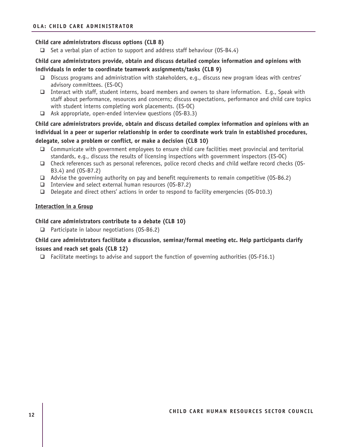#### **Child care administrators discuss options (CLB 8)**

 $\Box$  Set a verbal plan of action to support and address staff behaviour (OS-B4.4)

## **Child care administrators provide, obtain and discuss detailed complex information and opinions with individuals in order to coordinate teamwork assignments/tasks (CLB 9)**

- Discuss programs and administration with stakeholders, e.g., discuss new program ideas with centres' advisory committees. (ES-OC)
- Interact with staff, student interns, board members and owners to share information. E.q., Speak with staff about performance, resources and concerns; discuss expectations, performance and child care topics with student interns completing work placements. (ES-OC)
- $\Box$  Ask appropriate, open-ended interview questions (OS-B3.3)

**Child care administrators provide, obtain and discuss detailed complex information and opinions with an individual in a peer or superior relationship in order to coordinate work train in established procedures, delegate, solve a problem or conflict, or make a decision (CLB 10)** 

- $\Box$  Communicate with government employees to ensure child care facilities meet provincial and territorial standards, e.g., discuss the results of licensing inspections with government inspectors (ES-OC)
- $\Box$  Check references such as personal references, police record checks and child welfare record checks (OS-B3.4) and (OS-B7.2)
- $\Box$  Advise the governing authority on pay and benefit requirements to remain competitive (0S-B6.2)
- $\Box$  Interview and select external human resources (OS-B7.2)
- $\Box$  Delegate and direct others' actions in order to respond to facility emergencies (0S-D10.3)

#### **Interaction in a Group**

#### **Child care administrators contribute to a debate (CLB 10)**

 $\Box$  Participate in labour negotiations (OS-B6.2)

## **Child care administrators facilitate a discussion, seminar/formal meeting etc. Help participants clarify issues and reach set goals (CLB 12)**

 $\Box$  Facilitate meetings to advise and support the function of governing authorities (0S-F16.1)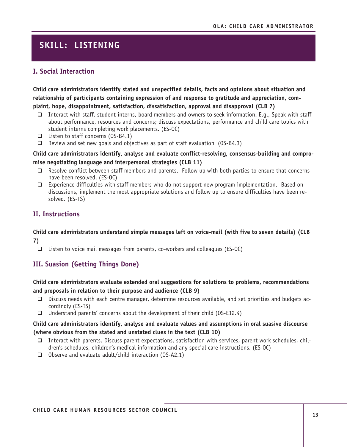## **SKILL: LISTENING**

## **I. Social Interaction**

**Child care administrators identify stated and unspecified details, facts and opinions about situation and relationship of participants containing expression of and response to gratitude and appreciation, complaint, hope, disappointment, satisfaction, dissatisfaction, approval and disapproval (CLB 7)** 

- Interact with staff, student interns, board members and owners to seek information. E.g., Speak with staff about performance, resources and concerns; discuss expectations, performance and child care topics with student interns completing work placements. (ES-OC)
- $\Box$  Listen to staff concerns (0S-B4.1)
- $\Box$  Review and set new goals and objectives as part of staff evaluation (OS-B4.3)

## **Child care administrators identify, analyse and evaluate conflict-resolving, consensus-building and compromise negotiating language and interpersonal strategies (CLB 11)**

- $\Box$  Resolve conflict between staff members and parents. Follow up with both parties to ensure that concerns have been resolved. (ES-OC)
- $\Box$  Experience difficulties with staff members who do not support new program implementation. Based on discussions, implement the most appropriate solutions and follow up to ensure difficulties have been resolved. (ES-TS)

## **II. Instructions**

#### **Child care administrators understand simple messages left on voice-mail (with five to seven details) (CLB 7)**

Listen to voice mail messages from parents, co-workers and colleagues (ES-OC)

## **III. Suasion (Getting Things Done)**

## **Child care administrators evaluate extended oral suggestions for solutions to problems, recommendations and proposals in relation to their purpose and audience (CLB 9)**

- $\Box$  Discuss needs with each centre manager, determine resources available, and set priorities and budgets accordingly (ES-TS)
- Understand parents' concerns about the development of their child (OS-E12.4)

## **Child care administrators identify, analyse and evaluate values and assumptions in oral suasive discourse (where obvious from the stated and unstated clues in the text (CLB 10)**

- Interact with parents. Discuss parent expectations, satisfaction with services, parent work schedules, children's schedules, children's medical information and any special care instructions. (ES-OC)
- $\Box$  Observe and evaluate adult/child interaction (OS-A2.1)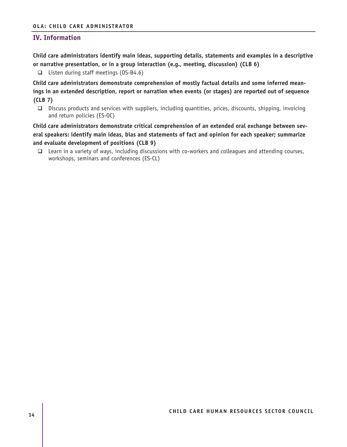#### **IV. Information**

**Child care administrators identify main ideas, supporting details, statements and examples in a descriptive or narrative presentation, or in a group interaction (e.g., meeting, discussion) (CLB 6)** 

Listen during staff meetings (OS-B4.6)

**Child care administrators demonstrate comprehension of mostly factual details and some inferred meanings in an extended description, report or narration when events (or stages) are reported out of sequence (CLB 7)** 

 $\Box$  Discuss products and services with suppliers, including quantities, prices, discounts, shipping, invoicing and return policies (ES-OC)

**Child care administrators demonstrate critical comprehension of an extended oral exchange between several speakers: identify main ideas, bias and statements of fact and opinion for each speaker; summarize and evaluate development of positions (CLB 9)** 

 $\Box$  Learn in a variety of ways, including discussions with co-workers and colleagues and attending courses, workshops, seminars and conferences (ES-CL)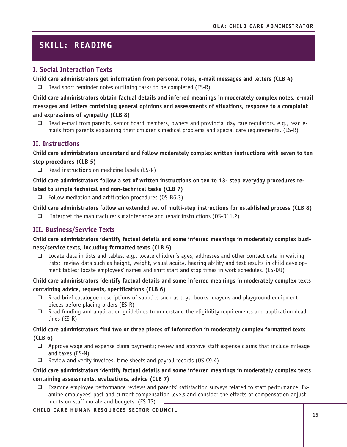## **SKILL: READING**

## **I. Social Interaction Texts**

**Child care administrators get information from personal notes, e-mail messages and letters (CLB 4)** 

 $\Box$  Read short reminder notes outlining tasks to be completed (ES-R)

**Child care administrators obtain factual details and inferred meanings in moderately complex notes, e-mail messages and letters containing general opinions and assessments of situations, response to a complaint and expressions of sympathy (CLB 8)** 

 $\Box$  Read e-mail from parents, senior board members, owners and provincial day care regulators, e.g., read emails from parents explaining their children's medical problems and special care requirements. (ES-R)

## **II. Instructions**

**Child care administrators understand and follow moderately complex written instructions with seven to ten step procedures (CLB 5)** 

 $\Box$  Read instructions on medicine labels (ES-R)

**Child care administrators follow a set of written instructions on ten to 13- step everyday procedures related to simple technical and non-technical tasks (CLB 7)** 

 $\Box$  Follow mediation and arbitration procedures (OS-B6.3)

**Child care administrators follow an extended set of multi-step instructions for established process (CLB 8)** 

 $\Box$  Interpret the manufacturer's maintenance and repair instructions (0S-D11.2)

## **III. Business/Service Texts**

**Child care administrators identify factual details and some inferred meanings in moderately complex business/service texts, including formatted texts (CLB 5)** 

 $\Box$  Locate data in lists and tables, e.g., locate children's ages, addresses and other contact data in waiting lists; review data such as height, weight, visual acuity, hearing ability and test results in child development tables; locate employees' names and shift start and stop times in work schedules. (ES-DU)

**Child care administrators identify factual details and some inferred meanings in moderately complex texts containing advice, requests, specifications (CLB 6)**

- $\Box$  Read brief catalogue descriptions of supplies such as toys, books, crayons and playground equipment pieces before placing orders (ES-R)
- $\Box$  Read funding and application guidelines to understand the eligibility requirements and application deadlines (ES-R)

**Child care administrators find two or three pieces of information in moderately complex formatted texts (CLB 6)** 

- $\Box$  Approve wage and expense claim payments; review and approve staff expense claims that include mileage and taxes (ES-N)
- $\Box$  Review and verify invoices, time sheets and payroll records (OS-C9.4)

### **Child care administrators identify factual details and some inferred meanings in moderately complex texts containing assessments, evaluations, advice (CLB 7)**

 Examine employee performance reviews and parents' satisfaction surveys related to staff performance. Examine employees' past and current compensation levels and consider the effects of compensation adjustments on staff morale and budgets. (ES-TS)

#### **CHILD CARE HUMAN RESOURCES SECTOR COUNCIL**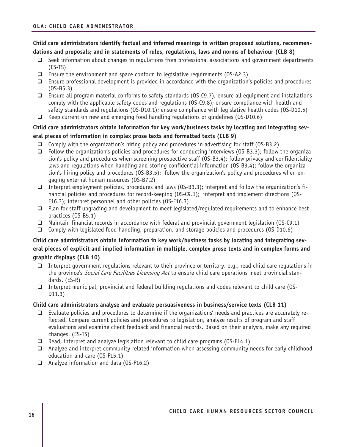## **Child care administrators identify factual and inferred meanings in written proposed solutions, recommendations and proposals; and in statements of rules, regulations, laws and norms of behaviour (CLB 8)**

- $\Box$  Seek information about changes in regulations from professional associations and government departments (ES-TS)
- $\Box$  Ensure the environment and space conform to legislative requirements (0S-A2.3)
- $\Box$  Ensure professional development is provided in accordance with the organization's policies and procedures (OS-B5.3)
- $\Box$  Ensure all program material conforms to safety standards (0S-C9.7); ensure all equipment and installations comply with the applicable safety codes and regulations (OS-C9.8); ensure compliance with health and safety standards and regulations (OS-D10.1); ensure compliance with legislative health codes (OS-D10.5)
- $\Box$  Keep current on new and emerging food handling regulations or quidelines (0S-D10.6)

## **Child care administrators obtain information for key work/business tasks by locating and integrating several pieces of information in complex prose texts and formatted texts (CLB 9)**

- $\Box$  Comply with the organization's hiring policy and procedures in advertising for staff (OS-B3.2)
- $\Box$  Follow the organization's policies and procedures for conducting interviews (OS-B3.3); follow the organization's policy and procedures when screening prospective staff (OS-B3.4); follow privacy and confidentiality laws and regulations when handling and storing confidential information (OS-B3.4); follow the organization's hiring policy and procedures (OS-B3.5); follow the organization's policy and procedures when engaging external human resources (OS-B7.2)
- Interpret employment policies, procedures and laws (OS-B3.3); interpret and follow the organization's financial policies and procedures for record-keeping (OS-C9.1); interpret and implement directions (OS-F16.3); interpret personnel and other policies (OS-F16.3)
- $\Box$  Plan for staff upgrading and development to meet legislated/regulated requirements and to enhance best practices (OS-B5.1)
- $\Box$  Maintain financial records in accordance with federal and provincial government legislation (0S-C9.1)
- $\Box$  Comply with legislated food handling, preparation, and storage policies and procedures (OS-D10.6)

## **Child care administrators obtain information in key work/business tasks by locating and integrating sev-**

### **eral pieces of explicit and implied information in multiple, complex prose texts and in complex forms and graphic displays (CLB 10)**

- Interpret government regulations relevant to their province or territory. e.g., read child care regulations in the province's Social Care Facilities Licensing Act to ensure child care operations meet provincial standards. (ES-R)
- Interpret municipal, provincial and federal building regulations and codes relevant to child care (0S-D11.3)

#### **Child care administrators analyse and evaluate persuasiveness in business/service texts (CLB 11)**

- Evaluate policies and procedures to determine if the organizations' needs and practices are accurately reflected. Compare current policies and procedures to legislation, analyze results of program and staff evaluations and examine client feedback and financial records. Based on their analysis, make any required changes. (ES-TS)
- $\Box$  Read, interpret and analyze legislation relevant to child care programs (OS-F14.1)
- Analyze and interpret community-related information when assessing community needs for early childhood education and care (OS-F15.1)
- Analyze information and data (OS-F16.2)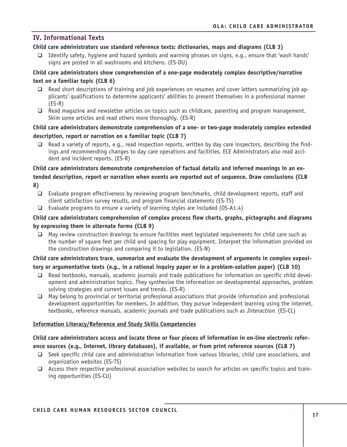## **IV. Informational Texts**

#### **Child care administrators use standard reference texts: dictionaries, maps and diagrams (CLB 3)**

 Identify safety, hygiene and hazard symbols and warning phrases on signs, e.g., ensure that 'wash hands' signs are posted in all washrooms and kitchens. (ES-DU)

## **Child care administrators show comprehension of a one-page moderately complex descriptive/narrative**

## **text on a familiar topic (CLB 6)**

- $\Box$  Read short descriptions of training and job experiences on resumes and cover letters summarizing job applicants' qualifications to determine applicants' abilities to present themselves in a professional manner (ES-R)
- $\Box$  Read magazine and newsletter articles on topics such as childcare, parenting and program management. Skim some articles and read others more thoroughly. (ES-R)

### **Child care administrators demonstrate comprehension of a one- or two-page moderately complex extended description, report or narration on a familiar topic (CLB 7)**

 $\Box$  Read a variety of reports, e.g., read inspection reports, written by day care inspectors, describing the findings and recommending changes to day care operations and facilities. ECE Administrators also read accident and incident reports. (ES-R)

## **Child care administrators demonstrate comprehension of factual details and inferred meanings in an extended description, report or narration when events are reported out of sequence. Draw conclusions (CLB 8)**

- $\Box$  Evaluate program effectiveness by reviewing program benchmarks, child development reports, staff and client satisfaction survey results, and program financial statements (ES-TS)
- $\Box$  Evaluate programs to ensure a variety of learning styles are included (OS-A1.4)

## **Child care administrators comprehension of complex process flow charts, graphs, pictographs and diagrams by expressing them in alternate forms (CLB 9)**

□ May review construction drawings to ensure facilities meet legislated requirements for child care such as the number of square feet per child and spacing for play equipment. Interpret the information provided on the construction drawings and comparing it to legislation. (ES-N)

## **Child care administrators trace, summarize and evaluate the development of arguments in complex exposi-**

## **tory or argumentative texts (e.g., in a rational inquiry paper or in a problem-solution paper) (CLB 10)**

- $\Box$  Read textbooks, manuals, academic journals and trade publications for information on specific child development and administration topics. They synthesize the information on developmental approaches, problem solving strategies and current issues and trends. (ES-R)
- $\Box$  May belong to provincial or territorial professional associations that provide information and professional development opportunities for members. In addition, they pursue independent learning using the internet, textbooks, reference manuals, academic journals and trade publications such as *Interaction*. (ES-CL)

#### **Information Literacy/Reference and Study Skills Competencies**

## **Child care administrators access and locate three or four pieces of information in on-line electronic reference sources (e.g., Internet, library databases), if available, or from print reference sources (CLB 7)**

- $\Box$  Seek specific child care and administration information from various libraries, child care associations, and organization websites (ES-TS)
- Access their respective professional association websites to search for articles on specific topics and training opportunities (ES-CU)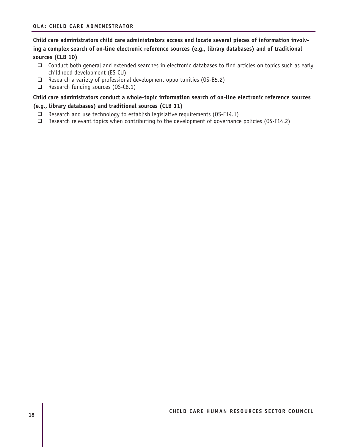## **Child care administrators child care administrators access and locate several pieces of information involving a complex search of on-line electronic reference sources (e.g., library databases) and of traditional sources (CLB 10)**

- □ Conduct both general and extended searches in electronic databases to find articles on topics such as early childhood development (ES-CU)
- □ Research a variety of professional development opportunities (OS-B5.2)
- $\Box$  Research funding sources (0S-C8.1)

## **Child care administrators conduct a whole-topic information search of on-line electronic reference sources**

#### **(e.g., library databases) and traditional sources (CLB 11)**

- $\Box$  Research and use technology to establish legislative requirements (OS-F14.1)
- $\Box$  Research relevant topics when contributing to the development of governance policies (OS-F14.2)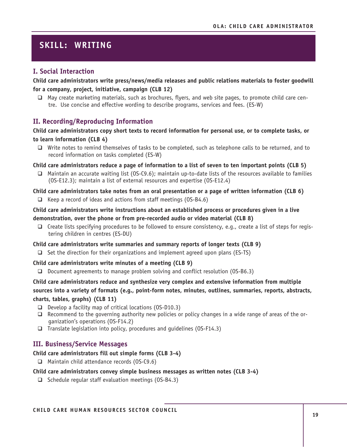## **SKILL: WRITING**

## **I. Social Interaction**

## **Child care administrators write press/news/media releases and public relations materials to foster goodwill for a company, project, initiative, campaign (CLB 12)**

□ May create marketing materials, such as brochures, flyers, and web site pages, to promote child care centre. Use concise and effective wording to describe programs, services and fees. (ES-W)

## **II. Recording/Reproducing Information**

### **Child care administrators copy short texts to record information for personal use, or to complete tasks, or to learn information (CLB 4)**

 $\Box$  Write notes to remind themselves of tasks to be completed, such as telephone calls to be returned, and to record information on tasks completed (ES-W)

#### **Child care administrators reduce a page of information to a list of seven to ten important points (CLB 5)**

 $\Box$  Maintain an accurate waiting list (OS-C9.6); maintain up-to-date lists of the resources available to families (OS-E12.3);maintain a list of external resources and expertise (OS-E12.4)

#### **Child care administrators take notes from an oral presentation or a page of written information (CLB 6)**

 $\Box$  Keep a record of ideas and actions from staff meetings (OS-B4.6)

## **Child care administrators write instructions about an established process or procedures given in a live demonstration, over the phone or from pre-recorded audio or video material (CLB 8)**

 $\Box$  Create lists specifying procedures to be followed to ensure consistency, e.g., create a list of steps for registering children in centres (ES-DU)

#### **Child care administrators write summaries and summary reports of longer texts (CLB 9)**

 $\Box$  Set the direction for their organizations and implement agreed upon plans (ES-TS)

#### **Child care administrators write minutes of a meeting (CLB 9)**

Document agreements to manage problem solving and conflict resolution (OS-B6.3)

## **Child care administrators reduce and synthesize very complex and extensive information from multiple sources into a variety of formats (e.g., point-form notes, minutes, outlines, summaries, reports, abstracts, charts, tables, graphs) (CLB 11)**

- $\Box$  Develop a facility map of critical locations (OS-D10.3)
- $\Box$  Recommend to the governing authority new policies or policy changes in a wide range of areas of the organization's operations (OS-F14.2)
- $\Box$  Translate legislation into policy, procedures and guidelines (OS-F14.3)

## **III. Business/Service Messages**

#### **Child care administrators fill out simple forms (CLB 3-4)**

 $\Box$  Maintain child attendance records (OS-C9.6)

#### **Child care administrators convey simple business messages as written notes (CLB 3-4)**

 $\Box$  Schedule regular staff evaluation meetings (OS-B4.3)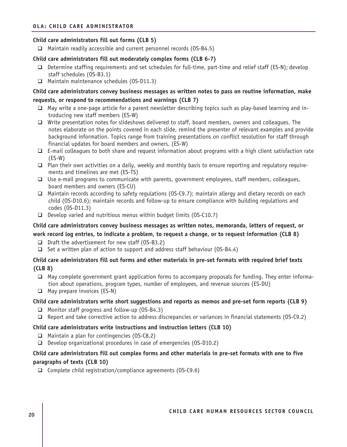#### **OLA: CHILD CARE ADMINISTRATOR**

#### **Child care administrators fill out forms (CLB 5)**

 $\Box$  Maintain readily accessible and current personnel records (OS-B4.5)

#### **Child care administrators fill out moderately complex forms (CLB 6-7)**

- □ Determine staffing requirements and set schedules for full-time, part-time and relief staff (ES-N); develop staff schedules (OS-B3.1)
- □ Maintain maintenance schedules (OS-D11.3)

### **Child care administrators convey business messages as written notes to pass on routine information, make requests, or respond to recommendations and warnings (CLB 7)**

- □ May write a one-page article for a parent newsletter describing topics such as play-based learning and introducing new staff members (ES-W)
- □ Write presentation notes for slideshows delivered to staff, board members, owners and colleagues. The notes elaborate on the points covered in each slide, remind the presenter of relevant examples and provide background information. Topics range from training presentations on conflict resolution for staff through financial updates for board members and owners. (ES-W)
- $\Box$  E-mail colleagues to both share and request information about programs with a high client satisfaction rate (ES-W)
- $\Box$  Plan their own activities on a daily, weekly and monthly basis to ensure reporting and regulatory requirements and timelines are met (ES-TS)
- $\Box$  Use e-mail programs to communicate with parents, government employees, staff members, colleagues, board members and owners (ES-CU)
- □ Maintain records according to safety regulations (OS-C9.7); maintain allergy and dietary records on each child (OS-D10.6); maintain records and follow-up to ensure compliance with building regulations and codes (OS-D11.3)
- $\Box$  Develop varied and nutritious menus within budget limits (OS-C10.7)

### **Child care administrators convey business messages as written notes, memoranda, letters of request, or work record log entries, to indicate a problem, to request a change, or to request information (CLB 8)**

- $\Box$  Draft the advertisement for new staff (OS-B3.2)
- $\Box$  Set a written plan of action to support and address staff behaviour (0S-B4.4)

### **Child care administrators fill out forms and other materials in pre-set formats with required brief texts (CLB 8)**

- $\Box$  May complete government grant application forms to accompany proposals for funding. They enter information about operations, program types, number of employees, and revenue sources (ES-DU)
- $\Box$  May prepare invoices (ES-N)

#### **Child care administrators write short suggestions and reports as memos and pre-set form reports (CLB 9)**

- $\Box$  Monitor staff progress and follow-up (OS-B4.3)
- $\Box$  Report and take corrective action to address discrepancies or variances in financial statements (0S-C9.2)

#### **Child care administrators write instructions and instruction letters (CLB 10)**

- $\Box$  Maintain a plan for contingencies (0S-C8.2)
- $\Box$  Develop organizational procedures in case of emergencies (OS-D10.2)

## **Child care administrators fill out complex forms and other materials in pre-set formats with one to five paragraphs of texts (CLB 10)**

 $\Box$  Complete child registration/compliance agreements (OS-C9.6)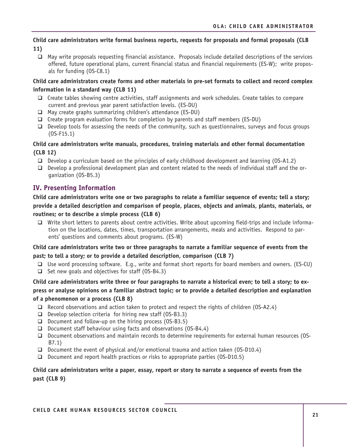**Child care administrators write formal business reports, requests for proposals and formal proposals (CLB 11)** 

 $\Box$  May write proposals requesting financial assistance. Proposals include detailed descriptions of the services offered, future operational plans, current financial status and financial requirements (ES-W); write proposals for funding (OS-C8.1)

## **Child care administrators create forms and other materials in pre-set formats to collect and record complex information in a standard way (CLB 11)**

- $\Box$  Create tables showing centre activities, staff assignments and work schedules. Create tables to compare current and previous year parent satisfaction levels. (ES-DU)
- $\Box$  May create graphs summarizing children's attendance (ES-DU)
- $\Box$  Create program evaluation forms for completion by parents and staff members (ES-DU)
- $\Box$  Develop tools for assessing the needs of the community, such as questionnaires, surveys and focus groups (OS-F15.1)

## **Child care administrators write manuals, procedures, training materials and other formal documentation (CLB 12)**

- $\Box$  Develop a curriculum based on the principles of early childhood development and learning (OS-A1.2)
- $\Box$  Develop a professional development plan and content related to the needs of individual staff and the organization (OS-B5.3)

## **IV. Presenting Information**

**Child care administrators write one or two paragraphs to relate a familiar sequence of events; tell a story; provide a detailed description and comparison of people, places, objects and animals, plants, materials, or routines; or to describe a simple process (CLB 6)** 

□ Write short letters to parents about centre activities. Write about upcoming field-trips and include information on the locations, dates, times, transportation arrangements, meals and activities. Respond to parents' questions and comments about programs. (ES-W)

**Child care administrators write two or three paragraphs to narrate a familiar sequence of events from the past; to tell a story; or to provide a detailed description, comparison (CLB 7)** 

- Use word processing software. E.g., write and format short reports for board members and owners. (ES-CU)
- $\Box$  Set new goals and objectives for staff (OS-B4.3)

## **Child care administrators write three or four paragraphs to narrate a historical even; to tell a story; to express or analyse opinions on a familiar abstract topic; or to provide a detailed description and explanation of a phenomenon or a process (CLB 8)**

- $\Box$  Record observations and action taken to protect and respect the rights of children (0S-A2.4)
- $\Box$  Develop selection criteria for hiring new staff (OS-B3.3)
- $\Box$  Document and follow-up on the hiring process (OS-B3.5)
- $\Box$  Document staff behaviour using facts and observations (OS-B4.4)
- Document observations and maintain records to determine requirements for external human resources (OS-B7.1)
- $\Box$  Document the event of physical and/or emotional trauma and action taken (0S-D10.4)
- Document and report health practices or risks to appropriate parties ( $0$ S-D10.5)

## **Child care administrators write a paper, essay, report or story to narrate a sequence of events from the past (CLB 9)**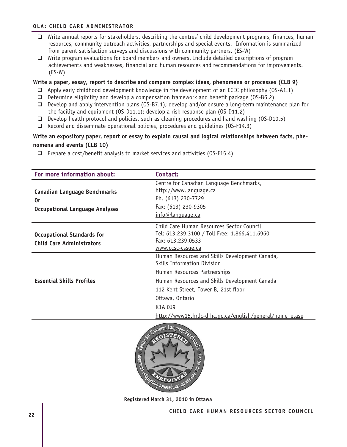#### **OLA: CHILD CARE ADMINISTRATOR**

- $\Box$  Write annual reports for stakeholders, describing the centres' child development programs, finances, human resources, community outreach activities, partnerships and special events. Information is summarized from parent satisfaction surveys and discussions with community partners. (ES-W)
- Write program evaluations for board members and owners. Include detailed descriptions of program achievements and weaknesses, financial and human resources and recommendations for improvements. (ES-W)

#### **Write a paper, essay, report to describe and compare complex ideas, phenomena or processes (CLB 9)**

- $\Box$  Apply early childhood development knowledge in the development of an ECEC philosophy (OS-A1.1)
- Determine eligibility and develop a compensation framework and benefit package (OS-B6.2)
- Develop and apply intervention plans (OS-B7.1); develop and/or ensure a long-term maintenance plan for the facility and equipment (OS-D11.1); develop a risk-response plan (OS-D11.2)
- $\Box$  Develop health protocol and policies, such as cleaning procedures and hand washing (OS-D10.5)
- $\Box$  Record and disseminate operational policies, procedures and guidelines (0S-F14.3)

## **Write an expository paper, report or essay to explain causal and logical relationships between facts, phenomena and events (CLB 10)**

 $\Box$  Prepare a cost/benefit analysis to market services and activities (OS-F15.4)

| For more information about:                                                        | Contact:                                                                                                                                                                                                                                                                                        |
|------------------------------------------------------------------------------------|-------------------------------------------------------------------------------------------------------------------------------------------------------------------------------------------------------------------------------------------------------------------------------------------------|
| <b>Canadian Language Benchmarks</b><br>0r<br><b>Occupational Language Analyses</b> | Centre for Canadian Language Benchmarks,<br>http://www.language.ca<br>Ph. (613) 230-7729<br>Fax: (613) 230-9305<br>info@lanquage.ca                                                                                                                                                             |
| <b>Occupational Standards for</b><br><b>Child Care Administrators</b>              | Child Care Human Resources Sector Council<br>Tel: 613.239.3100 / Toll Free: 1.866.411.6960<br>Fax: 613.239.0533<br>www.ccsc-cssqe.ca                                                                                                                                                            |
| <b>Essential Skills Profiles</b>                                                   | Human Resources and Skills Development Canada,<br>Skills Information Division<br>Human Resources Partnerships<br>Human Resources and Skills Development Canada<br>112 Kent Street, Tower B, 21st floor<br>Ottawa, Ontario<br>K1A 0J9<br>http://www15.hrdc-drhc.qc.ca/english/general/home_e.asp |



**Registered March 31, 2010 in Ottawa**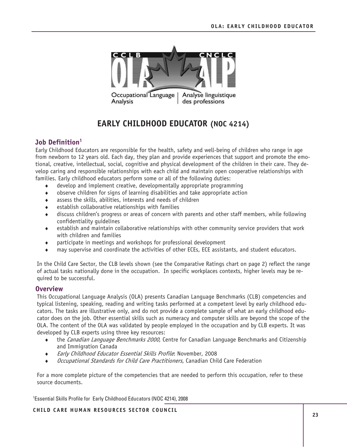

## **EARLY CHILDHOOD EDUCATOR (NOC 4214)**

## **Job Definition<sup>1</sup>**

Early Childhood Educators are responsible for the health, safety and well-being of children who range in age from newborn to 12 years old. Each day, they plan and provide experiences that support and promote the emotional, creative, intellectual, social, cognitive and physical development of the children in their care. They develop caring and responsible relationships with each child and maintain open cooperative relationships with families. Early childhood educators perform some or all of the following duties:

- ♦ develop and implement creative, developmentally appropriate programming
- ♦ observe children for signs of learning disabilities and take appropriate action
- ♦ assess the skills, abilities, interests and needs of children
- establish collaborative relationships with families
- discuss children's progress or areas of concern with parents and other staff members, while following confidentiality guidelines
- ♦ establish and maintain collaborative relationships with other community service providers that work with children and families
- participate in meetings and workshops for professional development
- may supervise and coordinate the activities of other ECEs, ECE assistants, and student educators.

In the Child Care Sector, the CLB levels shown (see the Comparative Ratings chart on page 2) reflect the range of actual tasks nationally done in the occupation. In specific workplaces contexts, higher levels may be required to be successful.

#### **Overview**

This Occupational Language Analysis (OLA) presents Canadian Language Benchmarks (CLB) competencies and typical listening, speaking, reading and writing tasks performed at a competent level by early childhood educators. The tasks are illustrative only, and do not provide a complete sample of what an early childhood educator does on the job. Other essential skills such as numeracy and computer skills are beyond the scope of the OLA. The content of the OLA was validated by people employed in the occupation and by CLB experts. It was developed by CLB experts using three key resources:

- the Canadian Language Benchmarks 2000, Centre for Canadian Language Benchmarks and Citizenship and Immigration Canada
- Early Childhood Educator Essential Skills Profile: November, 2008
- Occupational Standards for Child Care Practitioners, Canadian Child Care Federation

For a more complete picture of the competencies that are needed to perform this occupation, refer to these source documents.

1 Essential Skills Profile for Early Childhood Educators (NOC 4214), 2008

**CHILD CARE HUMAN RESOURCES SECTOR COUNCIL**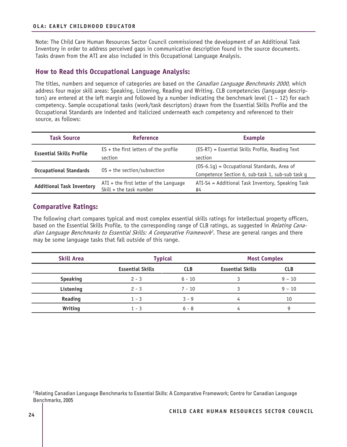Note: The Child Care Human Resources Sector Council commissioned the development of an Additional Task Inventory in order to address perceived gaps in communicative description found in the source documents. Tasks drawn from the ATI are also included in this Occupational Language Analysis.

## **How to Read this Occupational Language Analysis:**

The titles, numbers and sequence of categories are based on the *Canadian Language Benchmarks 2000*, which address four major skill areas: Speaking, Listening, Reading and Writing. CLB competencies (language descriptors) are entered at the left margin and followed by a number indicating the benchmark level (1 – 12) for each competency. Sample occupational tasks (work/task descriptors) drawn from the Essential Skills Profile and the Occupational Standards are indented and italicized underneath each competency and referenced to their source, as follows:

| <b>Task Source</b>               | <b>Reference</b>                                                    | <b>Example</b>                                          |  |
|----------------------------------|---------------------------------------------------------------------|---------------------------------------------------------|--|
| <b>Essential Skills Profile</b>  | $ES +$ the first letters of the profile                             | (ES-RT) = Essential Skills Profile, Reading Text        |  |
|                                  | section                                                             | section                                                 |  |
| <b>Occupational Standards</b>    | $OS +$ the section/subsection                                       | $(0S-6.1g)$ = Occupational Standards, Area of           |  |
|                                  |                                                                     | Competence Section 6, sub-task 1, sub-sub task q        |  |
| <b>Additional Task Inventory</b> | ATI + the first letter of the Language<br>Skill $+$ the task number | ATI-S4 = Additional Task Inventory, Speaking Task<br>#4 |  |

## **Comparative Ratings:**

The following chart compares typical and most complex essential skills ratings for intellectual property officers, based on the Essential Skills Profile, to the corresponding range of CLB ratings, as suggested in Relating Canadian Language Benchmarks to Essential Skills: A Comparative Framework<sup>2</sup>. These are general ranges and there may be some language tasks that fall outside of this range.

| <b>Skill Area</b> | <b>Typical</b>          |            | <b>Most Complex</b>     |            |
|-------------------|-------------------------|------------|-------------------------|------------|
|                   | <b>Essential Skills</b> | <b>CLB</b> | <b>Essential Skills</b> | <b>CLB</b> |
| <b>Speaking</b>   | $2 - 3$                 | $6 - 10$   |                         | $9 - 10$   |
| Listening         | $2 - 3$                 | $7 - 10$   |                         | $9 - 10$   |
| Reading           | $1 - 3$                 | $3 - 9$    | 4                       | 10         |
| Writing           | $1 - 3$                 | $6 - 8$    | 4                       | a          |

<sup>2</sup>Relating Canadian Language Benchmarks to Essential Skills: A Comparative Framework; Centre for Canadian Language Benchmarks, 2005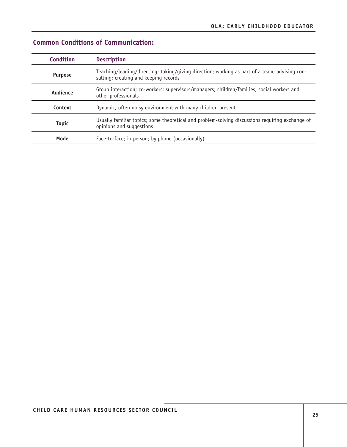| <b>Condition</b> | <b>Description</b>                                                                                                                     |
|------------------|----------------------------------------------------------------------------------------------------------------------------------------|
| <b>Purpose</b>   | Teaching/leading/directing; taking/giving direction; working as part of a team; advising con-<br>sulting; creating and keeping records |
| Audience         | Group interaction; co-workers; supervisors/managers; children/families; social workers and<br>other professionals                      |
| Context          | Dynamic, often noisy environment with many children present                                                                            |
| <b>Topic</b>     | Usually familiar topics; some theoretical and problem-solving discussions requiring exchange of<br>opinions and suggestions            |
| Mode             | Face-to-face; in person; by phone (occasionally)                                                                                       |

## **Common Conditions of Communication:**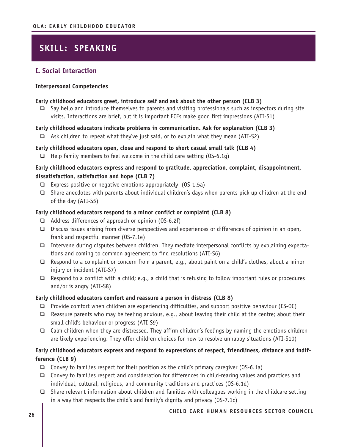## **SKILL: SPEAKING**

## **I. Social Interaction**

#### **Interpersonal Competencies**

#### **Early childhood educators greet, introduce self and ask about the other person (CLB 3)**

 $\Box$  Say hello and introduce themselves to parents and visiting professionals such as inspectors during site visits. Interactions are brief, but it is important ECEs make good first impressions (ATI-S1)

#### **Early childhood educators indicate problems in communication. Ask for explanation (CLB 3)**

 $\Box$  Ask children to repeat what they've just said, or to explain what they mean (ATI-S2)

#### **Early childhood educators open, close and respond to short casual small talk (CLB 4)**

 $\Box$  Help family members to feel welcome in the child care setting (0S-6.1g)

### **Early childhood educators express and respond to gratitude, appreciation, complaint, disappointment, dissatisfaction, satisfaction and hope (CLB 7)**

- $\Box$  Express positive or negative emotions appropriately (OS-1.5a)
- $\Box$  Share anecdotes with parents about individual children's days when parents pick up children at the end of the day (ATI-S5)

#### **Early childhood educators respond to a minor conflict or complaint (CLB 8)**

- $\Box$  Address differences of approach or opinion (0S-6.2f)
- $\Box$  Discuss issues arising from diverse perspectives and experiences or differences of opinion in an open, frank and respectful manner (OS-7.1e)
- Intervene during disputes between children. They mediate interpersonal conflicts by explaining expectations and coming to common agreement to find resolutions (ATI-S6)
- $\Box$  Respond to a complaint or concern from a parent, e.g., about paint on a child's clothes, about a minor injury or incident (ATI-S7)
- $\Box$  Respond to a conflict with a child; e.g., a child that is refusing to follow important rules or procedures and/or is angry (ATI-S8)

#### **Early childhood educators comfort and reassure a person in distress (CLB 8)**

- **Provide comfort when children are experiencing difficulties, and support positive behaviour (ES-OC)**
- $\Box$  Reassure parents who may be feeling anxious, e.g., about leaving their child at the centre; about their small child's behaviour or progress (ATI-S9)
- $\Box$  Calm children when they are distressed. They affirm children's feelings by naming the emotions children are likely experiencing. They offer children choices for how to resolve unhappy situations (ATI-S10)

## **Early childhood educators express and respond to expressions of respect, friendliness, distance and indifference (CLB 9)**

- $\Box$  Convey to families respect for their position as the child's primary caregiver (0S-6.1a)
- $\Box$  Convey to families respect and consideration for differences in child-rearing values and practices and individual, cultural, religious, and community traditions and practices (OS-6.1d)
- $\Box$  Share relevant information about children and families with colleagues working in the childcare setting in a way that respects the child's and family's dignity and privacy (OS-7.1c)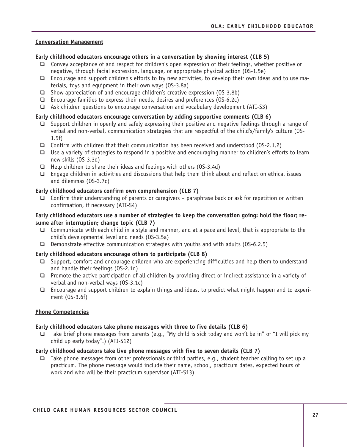#### **Conversation Management**

#### **Early childhood educators encourage others in a conversation by showing interest (CLB 5)**

- $\Box$  Convey acceptance of and respect for children's open expression of their feelings, whether positive or negative, through facial expression, language, or appropriate physical action (OS-1.5e)
- Encourage and support children's efforts to try new activities, to develop their own ideas and to use materials, toys and equipment in their own ways (OS-3.8a)
- $\square$  Show appreciation of and encourage children's creative expression (0S-3.8b)
- $\Box$  Encourage families to express their needs, desires and preferences (0S-6.2c)
- $\Box$  Ask children questions to encourage conversation and vocabulary development (ATI-S3)

#### **Early childhood educators encourage conversation by adding supportive comments (CLB 6)**

- $\Box$  Support children in openly and safely expressing their positive and negative feelings through a range of verbal and non-verbal, communication strategies that are respectful of the child's/family's culture (OS-1.5f)
- $\Box$  Confirm with children that their communication has been received and understood (0S-2.1.2)
- □ Use a variety of strategies to respond in a positive and encouraging manner to children's efforts to learn new skills (OS-3.3d)
- $\Box$  Help children to share their ideas and feelings with others (0S-3.4d)
- $\Box$  Engage children in activities and discussions that help them think about and reflect on ethical issues and dilemmas (OS-3.7c)

#### **Early childhood educators confirm own comprehension (CLB 7)**

 $\Box$  Confirm their understanding of parents or caregivers – paraphrase back or ask for repetition or written confirmation, if necessary (ATI-S4)

#### **Early childhood educators use a number of strategies to keep the conversation going: hold the floor; resume after interruption; change topic (CLB 7)**

- $\Box$  Communicate with each child in a style and manner, and at a pace and level, that is appropriate to the child's developmental level and needs (OS-3.5a)
- $\Box$  Demonstrate effective communication strategies with youths and with adults (0S-6.2.5)

#### **Early childhood educators encourage others to participate (CLB 8)**

- $\square$  Support, comfort and encourage children who are experiencing difficulties and help them to understand and handle their feelings (OS-2.1d)
- $\Box$  Promote the active participation of all children by providing direct or indirect assistance in a variety of verbal and non-verbal ways (OS-3.1c)
- Encourage and support children to explain things and ideas, to predict what might happen and to experiment (OS-3.6f)

#### **Phone Competencies**

#### **Early childhood educators take phone messages with three to five details (CLB 6)**

 $\Box$  Take brief phone messages from parents (e.g., "My child is sick today and won't be in" or "I will pick my child up early today".) (ATI-S12)

#### **Early childhood educators take live phone messages with five to seven details (CLB 7)**

 $\Box$  Take phone messages from other professionals or third parties, e.g., student teacher calling to set up a practicum. The phone message would include their name, school, practicum dates, expected hours of work and who will be their practicum supervisor (ATI-S13)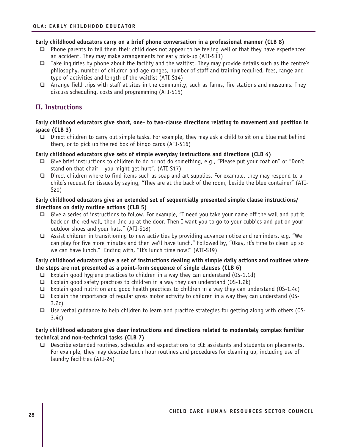#### **Early childhood educators carry on a brief phone conversation in a professional manner (CLB 8)**

- $\Box$  Phone parents to tell them their child does not appear to be feeling well or that they have experienced an accident. They may make arrangements for early pick-up (ATI-S11)
- $\Box$  Take inquiries by phone about the facility and the waitlist. They may provide details such as the centre's philosophy, number of children and age ranges, number of staff and training required, fees, range and type of activities and length of the waitlist (ATI-S14)
- $\Box$  Arrange field trips with staff at sites in the community, such as farms, fire stations and museums. They discuss scheduling, costs and programming (ATI-S15)

## **II. Instructions**

#### **Early childhood educators give short, one- to two-clause directions relating to movement and position in space (CLB 3)**

 $\Box$  Direct children to carry out simple tasks. For example, they may ask a child to sit on a blue mat behind them, or to pick up the red box of bingo cards (ATI-S16)

#### **Early childhood educators give sets of simple everyday instructions and directions (CLB 4)**

- Give brief instructions to children to do or not do something, e.g., "Please put your coat on" or "Don't stand on that chair – you might get hurt". (ATI-S17)
- $\Box$  Direct children where to find items such as soap and art supplies. For example, they may respond to a child's request for tissues by saying, "They are at the back of the room, beside the blue container" (ATI-S20)

#### **Early childhood educators give an extended set of sequentially presented simple clause instructions/ directions on daily routine actions (CLB 5)**

- Give a series of instructions to follow. For example, "I need you take your name off the wall and put it back on the red wall, then line up at the door. Then I want you to go to your cubbies and put on your outdoor shoes and your hats." (ATI-S18)
- $\Box$  Assist children in transitioning to new activities by providing advance notice and reminders, e.g. "We can play for five more minutes and then we'll have lunch." Followed by, "Okay, it's time to clean up so we can have lunch." Ending with, "It's lunch time now!" (ATI-S19)

#### **Early childhood educators give a set of instructions dealing with simple daily actions and routines where the steps are not presented as a point-form sequence of single clauses (CLB 6)**

- $\Box$  Explain good hygiene practices to children in a way they can understand (OS-1.1d)
- $\Box$  Explain good safety practices to children in a way they can understand (OS-1.2k)
- Explain good nutrition and good health practices to children in a way they can understand (OS-1.4c)
- $\Box$  Explain the importance of regular gross motor activity to children in a way they can understand (OS-3.2c)
- $\Box$  Use verbal guidance to help children to learn and practice strategies for getting along with others (OS-3.4c)

#### **Early childhood educators give clear instructions and directions related to moderately complex familiar technical and non-technical tasks (CLB 7)**

 Describe extended routines, schedules and expectations to ECE assistants and students on placements. For example, they may describe lunch hour routines and procedures for cleaning up, including use of laundry facilities (ATI-24)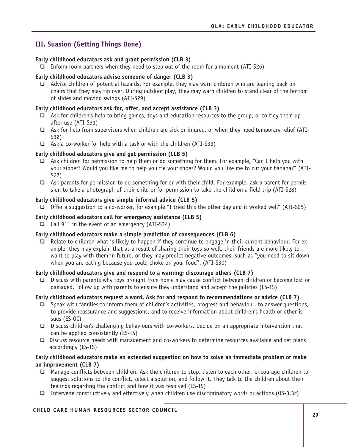## **III. Suasion (Getting Things Done)**

#### **Early childhood educators ask and grant permission (CLB 3)**

Inform room partners when they need to step out of the room for a moment (ATI-S26)

#### **Early childhood educators advise someone of danger (CLB 3)**

 $\Box$  Advise children of potential hazards. For example, they may warn children who are leaning back on chairs that they may tip over. During outdoor play, they may warn children to stand clear of the bottom of slides and moving swings (ATI-S29)

#### **Early childhood educators ask for, offer, and accept assistance (CLB 3)**

- Ask for children's help to bring games, toys and education resources to the group, or to tidy them up after use (ATI-S31)
- $\Box$  Ask for help from supervisors when children are sick or injured, or when they need temporary relief (ATI-S32)
- $\Box$  Ask a co-worker for help with a task or with the children (ATI-S33)

#### **Early childhood educators give and get permission (CLB 5)**

- $\Box$  Ask children for permission to help them or do something for them. For example, "Can I help you with your zipper? Would you like me to help you tie your shoes? Would you like me to cut your banana?" (ATI-S27)
- $\Box$  Ask parents for permission to do something for or with their child. For example, ask a parent for permission to take a photograph of their child or for permission to take the child on a field trip (ATI-S28)

#### **Early childhood educators give simple informal advice (CLB 5)**

 $\Box$  Offer a suggestion to a co-worker, for example "I tried this the other day and it worked well" (ATI-S25)

#### **Early childhood educators call for emergency assistance (CLB 5)**

 $\Box$  Call 911 in the event of an emergency (ATI-S34)

#### **Early childhood educators make a simple prediction of consequences (CLB 6)**

 $\Box$  Relate to children what is likely to happen if they continue to engage in their current behaviour. For example, they may explain that as a result of sharing their toys so well, their friends are more likely to want to play with them in future, or they may predict negative outcomes, such as "you need to sit down when you are eating because you could choke on your food". (ATI-S30)

#### **Early childhood educators give and respond to a warning; discourage others (CLB 7)**

 Discuss with parents why toys brought from home may cause conflict between children or become lost or damaged. Follow up with parents to ensure they understand and accept the policies (ES-TS)

#### **Early childhood educators request a word. Ask for and respond to recommendations or advice (CLB 7)**

- $\Box$  Speak with families to inform them of children's activities, progress and behaviour, to answer questions, to provide reassurance and suggestions, and to receive information about children's health or other issues (ES-OC)
- $\Box$  Discuss children's challenging behaviours with co-workers. Decide on an appropriate intervention that can be applied consistently (ES-TS)
- $\Box$  Discuss resource needs with management and co-workers to determine resources available and set plans accordingly (ES-TS)

#### **Early childhood educators make an extended suggestion on how to solve an immediate problem or make an improvement (CLB 7)**

- Manage conflicts between children. Ask the children to stop, listen to each other, encourage children to suggest solutions to the conflict, select a solution, and follow it. They talk to the children about their feelings regarding the conflict and how it was resolved (ES-TS)
- **Intervene constructively and effectively when children use discriminatory words or actions (OS-3.3c)**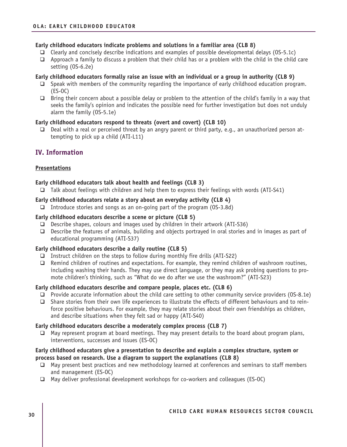#### **Early childhood educators indicate problems and solutions in a familiar area (CLB 8)**

- $\Box$  Clearly and concisely describe indications and examples of possible developmental delays (0S-5.1c)
- $\Box$  Approach a family to discuss a problem that their child has or a problem with the child in the child care setting (OS-6.2e)

#### **Early childhood educators formally raise an issue with an individual or a group in authority (CLB 9)**

- $\Box$  Speak with members of the community regarding the importance of early childhood education program. (ES-OC)
- $\Box$  Bring their concern about a possible delay or problem to the attention of the child's family in a way that seeks the family's opinion and indicates the possible need for further investigation but does not unduly alarm the family (OS-5.1e)

#### **Early childhood educators respond to threats (overt and covert) (CLB 10)**

 $\Box$  Deal with a real or perceived threat by an angry parent or third party, e.g., an unauthorized person attempting to pick up a child (ATI-L11)

## **IV. Information**

#### **Presentations**

#### **Early childhood educators talk about health and feelings (CLB 3)**

 $\Box$  Talk about feelings with children and help them to express their feelings with words (ATI-S41)

#### **Early childhood educators relate a story about an everyday activity (CLB 4)**

Introduce stories and songs as an on-going part of the program (0S-3.8d)

#### **Early childhood educators describe a scene or picture (CLB 5)**

- $\Box$  Describe shapes, colours and images used by children in their artwork (ATI-S36)
- $\Box$  Describe the features of animals, building and objects portrayed in oral stories and in images as part of educational programming (ATI-S37)

#### **Early childhood educators describe a daily routine (CLB 5)**

- $\Box$  Instruct children on the steps to follow during monthly fire drills (ATI-S22)
- $\Box$  Remind children of routines and expectations. For example, they remind children of washroom routines, including washing their hands. They may use direct language, or they may ask probing questions to promote children's thinking, such as "What do we do after we use the washroom?" (ATI-S23)

#### **Early childhood educators describe and compare people, places etc. (CLB 6)**

- $\Box$  Provide accurate information about the child care setting to other community service providers (OS-8.1e)
- Share stories from their own life experiences to illustrate the effects of different behaviours and to reinforce positive behaviours. For example, they may relate stories about their own friendships as children, and describe situations when they felt sad or happy (ATI-S40)

#### **Early childhood educators describe a moderately complex process (CLB 7)**

 $\Box$  May represent program at board meetings. They may present details to the board about program plans, interventions, successes and issues (ES-OC)

#### **Early childhood educators give a presentation to describe and explain a complex structure, system or process based on research. Use a diagram to support the explanations (CLB 8)**

- $\Box$  May present best practices and new methodology learned at conferences and seminars to staff members and management (ES-OC)
- $\Box$  May deliver professional development workshops for co-workers and colleagues (ES-OC)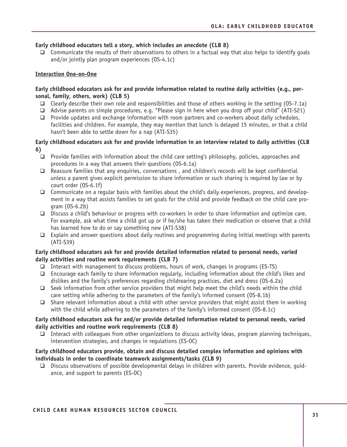#### **Early childhood educators tell a story, which includes an anecdote (CLB 8)**

 $\Box$  Communicate the results of their observations to others in a factual way that also helps to identify goals and/or jointly plan program experiences (OS-4.1c)

#### **Interaction One-on-One**

#### **Early childhood educators ask for and provide information related to routine daily activities (e.g., personal, family, others, work) (CLB 5)**

- $\Box$  Clearly describe their own role and responsibilities and those of others working in the setting (0S-7.1a)
- Advise parents on simple procedures, e.g. "Please sign in here when you drop off your child" (ATI-S21)
- $\Box$  Provide updates and exchange information with room partners and co-workers about daily schedules, facilities and children. For example, they may mention that lunch is delayed 15 minutes, or that a child hasn't been able to settle down for a nap (ATI-S35)

#### **Early childhood educators ask for and provide information in an interview related to daily activities (CLB 6)**

- $\Box$  Provide families with information about the child care setting's philosophy, policies, approaches and procedures in a way that answers their questions (OS-6.1a)
- $\Box$  Reassure families that any enquiries, conversations, and children's records will be kept confidential unless a parent gives explicit permission to share information or such sharing is required by law or by court order (OS-6.1f)
- $\Box$  Communicate on a regular basis with families about the child's daily experiences, progress, and development in a way that assists families to set goals for the child and provide feedback on the child care pro $gram (OS-6.2b)$
- $\Box$  Discuss a child's behaviour or progress with co-workers in order to share information and optimize care. For example, ask what time a child got up or if he/she has taken their medication or observe that a child has learned how to do or say something new (ATI-S38)
- $\Box$  Explain and answer questions about daily routines and programming during initial meetings with parents (ATI-S39)

#### **Early childhood educators ask for and provide detailed information related to personal needs, varied daily activities and routine work requirements (CLB 7)**

- Interact with management to discuss problems, hours of work, changes in programs (ES-TS)
- $\Box$  Encourage each family to share information regularly, including information about the child's likes and dislikes and the family's preferences regarding childrearing practices, diet and dress (OS-6.2a)
- $\Box$  Seek information from other service providers that might help meet the child's needs within the child care setting while adhering to the parameters of the family's informed consent (OS-8.1b)
- $\Box$  Share relevant information about a child with other service providers that might assist them in working with the child while adhering to the parameters of the family's informed consent (OS-8.1c)

#### **Early childhood educators ask for and/or provide detailed information related to personal needs, varied daily activities and routine work requirements (CLB 8)**

Interact with colleagues from other organizations to discuss activity ideas, program planning techniques, intervention strategies, and changes in regulations (ES-OC)

#### **Early childhood educators provide, obtain and discuss detailed complex information and opinions with individuals in order to coordinate teamwork assignments/tasks (CLB 9)**

 Discuss observations of possible developmental delays in children with parents. Provide evidence, guidance, and support to parents (ES-OC)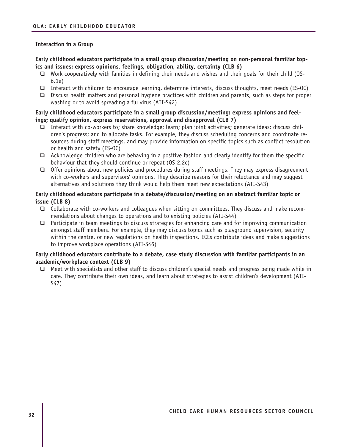#### **Interaction in a Group**

**Early childhood educators participate in a small group discussion/meeting on non-personal familiar topics and issues: express opinions, feelings, obligation, ability, certainty (CLB 6)** 

- □ Work cooperatively with families in defining their needs and wishes and their goals for their child (OS-6.1e)
- Interact with children to encourage learning, determine interests, discuss thoughts, meet needs (ES-OC)
- $\Box$  Discuss health matters and personal hygiene practices with children and parents, such as steps for proper washing or to avoid spreading a flu virus (ATI-S42)

#### **Early childhood educators participate in a small group discussion/meeting: express opinions and feelings; qualify opinion, express reservations, approval and disapproval (CLB 7)**

- Interact with co-workers to; share knowledge; learn; plan joint activities; generate ideas; discuss children's progress; and to allocate tasks. For example, they discuss scheduling concerns and coordinate resources during staff meetings, and may provide information on specific topics such as conflict resolution or health and safety (ES-OC)
- $\Box$  Acknowledge children who are behaving in a positive fashion and clearly identify for them the specific behaviour that they should continue or repeat (OS-2.2c)
- $\Box$  Offer opinions about new policies and procedures during staff meetings. They may express disagreement with co-workers and supervisors' opinions. They describe reasons for their reluctance and may suggest alternatives and solutions they think would help them meet new expectations (ATI-S43)

#### **Early childhood educators participate in a debate/discussion/meeting on an abstract familiar topic or issue (CLB 8)**

- $\Box$  Collaborate with co-workers and colleagues when sitting on committees. They discuss and make recommendations about changes to operations and to existing policies (ATI-S44)
- $\Box$  Participate in team meetings to discuss strategies for enhancing care and for improving communication amongst staff members. For example, they may discuss topics such as playground supervision, security within the centre, or new regulations on health inspections. ECEs contribute ideas and make suggestions to improve workplace operations (ATI-S46)

#### **Early childhood educators contribute to a debate, case study discussion with familiar participants in an academic/workplace context (CLB 9)**

 $\Box$  Meet with specialists and other staff to discuss children's special needs and progress being made while in care. They contribute their own ideas, and learn about strategies to assist children's development (ATI-S47)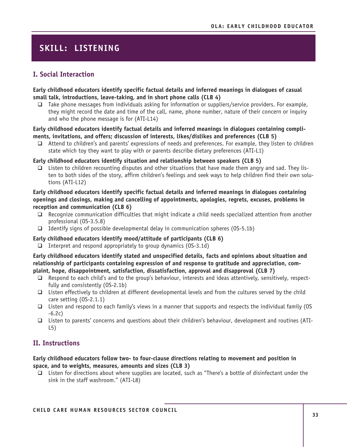## **SKILL: LISTENING**

## **I. Social Interaction**

#### **Early childhood educators identify specific factual details and inferred meanings in dialogues of casual small talk, introductions, leave-taking, and in short phone calls (CLB 4)**

□ Take phone messages from individuals asking for information or suppliers/service providers. For example, they might record the date and time of the call, name, phone number, nature of their concern or inquiry and who the phone message is for (ATI-L14)

#### **Early childhood educators identify factual details and inferred meanings in dialogues containing compliments, invitations, and offers; discussion of interests, likes/dislikes and preferences (CLB 5)**

 $\Box$  Attend to children's and parents' expressions of needs and preferences. For example, they listen to children state which toy they want to play with or parents describe dietary preferences (ATI-L1)

#### **Early childhood educators identify situation and relationship between speakers (CLB 5)**

 $\Box$  Listen to children recounting disputes and other situations that have made them angry and sad. They listen to both sides of the story, affirm children's feelings and seek ways to help children find their own solutions (ATI-L12)

#### **Early childhood educators identify specific factual details and inferred meanings in dialogues containing openings and closings, making and cancelling of appointments, apologies, regrets, excuses, problems in reception and communication (CLB 6)**

- $\Box$  Recognize communication difficulties that might indicate a child needs specialized attention from another professional (OS-3.5.8)
- $\Box$  Identify signs of possible developmental delay in communication spheres (0S-5.1b)

#### **Early childhood educators identify mood/attitude of participants (CLB 6)**

 $\Box$  Interpret and respond appropriately to group dynamics (OS-3.1d)

**Early childhood educators identify stated and unspecified details, facts and opinions about situation and relationship of participants containing expression of and response to gratitude and appreciation, complaint, hope, disappointment, satisfaction, dissatisfaction, approval and disapproval (CLB 7)** 

- $\Box$  Respond to each child's and to the group's behaviour, interests and ideas attentively, sensitively, respectfully and consistently (OS-2.1b)
- $\Box$  Listen effectively to children at different developmental levels and from the cultures served by the child care setting (OS-2.1.1)
- Listen and respond to each family's views in a manner that supports and respects the individual family (OS  $-6.2c)$
- Listen to parents' concerns and questions about their children's behaviour, development and routines (ATI-L5)

## **II. Instructions**

#### **Early childhood educators follow two- to four-clause directions relating to movement and position in space, and to weights, measures, amounts and sizes (CLB 3)**

□ Listen for directions about where supplies are located, such as "There's a bottle of disinfectant under the sink in the staff washroom." (ATI-L8)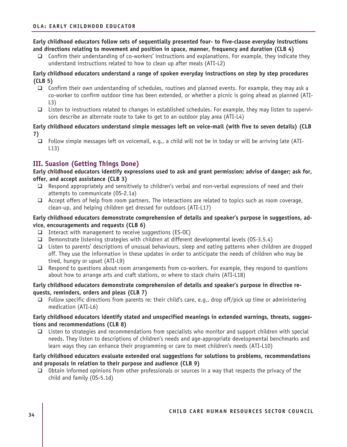**Early childhood educators follow sets of sequentially presented four- to five-clause everyday instructions and directions relating to movement and position in space, manner, frequency and duration (CLB 4)** 

 $\Box$  Confirm their understanding of co-workers' instructions and explanations. For example, they indicate they understand instructions related to how to clean up after meals (ATI-L2)

#### **Early childhood educators understand a range of spoken everyday instructions on step by step procedures (CLB 5)**

- $\Box$  Confirm their own understanding of schedules, routines and planned events. For example, they may ask a co-worker to confirm outdoor time has been extended, or whether a picnic is going ahead as planned (ATI- $L3$
- $\Box$  Listen to instructions related to changes in established schedules. For example, they may listen to supervisors describe an alternate route to take to get to an outdoor play area (ATI-L4)

### **Early childhood educators understand simple messages left on voice-mail (with five to seven details) (CLB 7)**

 $\Box$  Follow simple messages left on voicemail, e.g., a child will not be in today or will be arriving late (ATI-L13)

## **III. Suasion (Getting Things Done)**

#### **Early childhood educators identify expressions used to ask and grant permission; advise of danger; ask for, offer, and accept assistance (CLB 3)**

- □ Respond appropriately and sensitively to children's verbal and non-verbal expressions of need and their attempts to communicate (OS-2.1a)
- $\Box$  Accept offers of help from room partners. The interactions are related to topics such as room coverage, clean-up, and helping children get dressed for outdoors (ATI-L17)

#### **Early childhood educators demonstrate comprehension of details and speaker's purpose in suggestions, advice, encouragements and requests (CLB 6)**

- $\Box$  Interact with management to receive suggestions (ES-OC)
- $\Box$  Demonstrate listening strategies with children at different developmental levels (0S-3.5.4)
- Listen to parents' descriptions of unusual behaviours, sleep and eating patterns when children are dropped off. They use the information in these updates in order to anticipate the needs of children who may be tired, hungry or upset (ATI-L9)
- $\Box$  Respond to questions about room arrangements from co-workers. For example, they respond to questions about how to arrange arts and craft stations, or where to stack chairs (ATI-L18)

#### **Early childhood educators demonstrate comprehension of details and speaker's purpose in directive requests, reminders, orders and pleas (CLB 7)**

 $\Box$  Follow specific directions from parents re: their child's care, e.g., drop off/pick up time or administering medication (ATI-L6)

#### **Early childhood educators identify stated and unspecified meanings in extended warnings, threats, suggestions and recommendations (CLB 8)**

□ Listen to strategies and recommendations from specialists who monitor and support children with special needs. They listen to descriptions of children's needs and age-appropriate developmental benchmarks and learn ways they can enhance their programming or care to meet children's needs (ATI-L10)

#### **Early childhood educators evaluate extended oral suggestions for solutions to problems, recommendations and proposals in relation to their purpose and audience (CLB 9)**

 $\Box$  Obtain informed opinions from other professionals or sources in a way that respects the privacy of the child and family (OS-5.1d)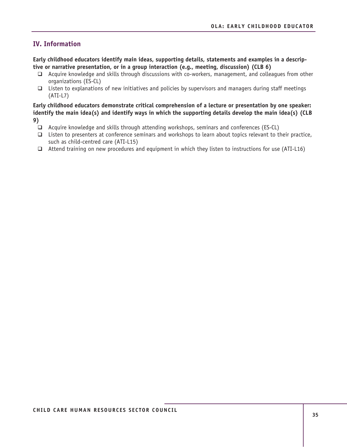## **IV. Information**

**Early childhood educators identify main ideas, supporting details, statements and examples in a descriptive or narrative presentation, or in a group interaction (e.g., meeting, discussion) (CLB 6)** 

- $\Box$  Acquire knowledge and skills through discussions with co-workers, management, and colleagues from other organizations (ES-CL)
- $\Box$  Listen to explanations of new initiatives and policies by supervisors and managers during staff meetings (ATI-L7)

**Early childhood educators demonstrate critical comprehension of a lecture or presentation by one speaker: identify the main idea(s) and identify ways in which the supporting details develop the main idea(s) (CLB 9)** 

- Acquire knowledge and skills through attending workshops, seminars and conferences (ES-CL)
- Listen to presenters at conference seminars and workshops to learn about topics relevant to their practice, such as child-centred care (ATI-L15)
- Attend training on new procedures and equipment in which they listen to instructions for use (ATI-L16)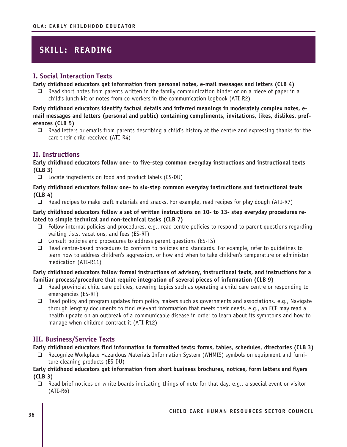## **SKILL: READING**

## **I. Social Interaction Texts**

**Early childhood educators get information from personal notes, e-mail messages and letters (CLB 4)** 

 $\Box$  Read short notes from parents written in the family communication binder or on a piece of paper in a child's lunch kit or notes from co-workers in the communication logbook (ATI-R2)

**Early childhood educators identify factual details and inferred meanings in moderately complex notes, email messages and letters (personal and public) containing compliments, invitations, likes, dislikes, preferences (CLB 5)** 

 $\Box$  Read letters or emails from parents describing a child's history at the centre and expressing thanks for the care their child received (ATI-R4)

## **II. Instructions**

**Early childhood educators follow one- to five-step common everyday instructions and instructional texts (CLB 3)** 

- $\Box$  Locate ingredients on food and product labels (ES-DU)
- **Early childhood educators follow one- to six-step common everyday instructions and instructional texts (CLB 4)** 
	- $\Box$  Read recipes to make craft materials and snacks. For example, read recipes for play dough (ATI-R7)

#### **Early childhood educators follow a set of written instructions on 10- to 13- step everyday procedures related to simple technical and non-technical tasks (CLB 7)**

- □ Follow internal policies and procedures. e.g., read centre policies to respond to parent questions regarding waiting lists, vacations, and fees (ES-RT)
- $\Box$  Consult policies and procedures to address parent questions (ES-TS)
- $\Box$  Read centre-based procedures to conform to policies and standards. For example, refer to quidelines to learn how to address children's aggression, or how and when to take children's temperature or administer medication (ATI-R11)

**Early childhood educators follow formal instructions of advisory, instructional texts, and instructions for a familiar process/procedure that require integration of several pieces of information (CLB 9)** 

- $\Box$  Read provincial child care policies, covering topics such as operating a child care centre or responding to emergencies (ES-RT)
- □ Read policy and program updates from policy makers such as governments and associations. e.g., Navigate through lengthy documents to find relevant information that meets their needs. e.g., an ECE may read a health update on an outbreak of a communicable disease in order to learn about its symptoms and how to manage when children contract it (ATI-R12)

## **III. Business/Service Texts**

**Early childhood educators find information in formatted texts: forms, tables, schedules, directories (CLB 3)** 

 Recognize Workplace Hazardous Materials Information System (WHMIS) symbols on equipment and furniture cleaning products (ES-DU)

#### **Early childhood educators get information from short business brochures, notices, form letters and flyers (CLB 3)**

 $\Box$  Read brief notices on white boards indicating things of note for that day, e.g., a special event or visitor (ATI-R6)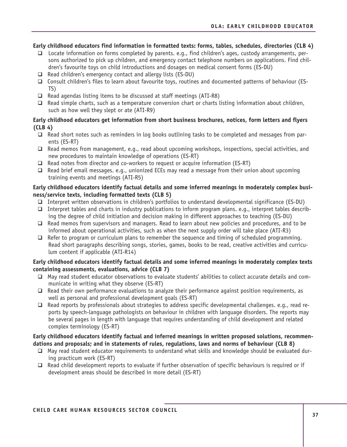#### **Early childhood educators find information in formatted texts: forms, tables, schedules, directories (CLB 4)**

- □ Locate information on forms completed by parents. e.g., find children's ages, custody arrangements, persons authorized to pick up children, and emergency contact telephone numbers on applications. Find children's favourite toys on child introductions and dosages on medical consent forms (ES-DU)
- $\Box$  Read children's emergency contact and allergy lists (ES-DU)
- Consult children's files to learn about favourite toys, routines and documented patterns of behaviour (ES-TS)
- $\Box$  Read agendas listing items to be discussed at staff meetings (ATI-R8)
- $\Box$  Read simple charts, such as a temperature conversion chart or charts listing information about children, such as how well they slept or ate (ATI-R9)

#### **Early childhood educators get information from short business brochures, notices, form letters and flyers (CLB 4)**

- $\Box$  Read short notes such as reminders in log books outlining tasks to be completed and messages from parents (ES-RT)
- Read memos from management, e.g., read about upcoming workshops, inspections, special activities, and new procedures to maintain knowledge of operations (ES-RT)
- $\Box$  Read notes from director and co-workers to request or acquire information (ES-RT)
- $\Box$  Read brief email messages. e.g., unionized ECEs may read a message from their union about upcoming training events and meetings (ATI-R5)

#### **Early childhood educators identify factual details and some inferred meanings in moderately complex business/service texts, including formatted texts (CLB 5)**

- Interpret written observations in children's portfolios to understand developmental significance (ES-DU)
- $\Box$  Interpret tables and charts in industry publications to inform program plans. e.g., interpret tables describing the degree of child initiation and decision making in different approaches to teaching (ES-DU)
- $\Box$  Read memos from supervisors and managers. Read to learn about new policies and procedures, and to be informed about operational activities, such as when the next supply order will take place (ATI-R3)
- □ Refer to program or curriculum plans to remember the sequence and timing of scheduled programming. Read short paragraphs describing songs, stories, games, books to be read, creative activities and curriculum content if applicable (ATI-R14)

#### **Early childhood educators identify factual details and some inferred meanings in moderately complex texts containing assessments, evaluations, advice (CLB 7)**

- May read student educator observations to evaluate students' abilities to collect accurate details and communicate in writing what they observe (ES-RT)
- □ Read their own performance evaluations to analyze their performance against position requirements, as well as personal and professional development goals (ES-RT)
- $\Box$  Read reports by professionals about strategies to address specific developmental challenges. e.g., read reports by speech-language pathologists on behaviour in children with language disorders. The reports may be several pages in length with language that requires understanding of child development and related complex terminology (ES-RT)

#### **Early childhood educators identify factual and inferred meanings in written proposed solutions, recommendations and proposals; and in statements of rules, regulations, laws and norms of behaviour (CLB 8)**

- □ May read student educator requirements to understand what skills and knowledge should be evaluated during practicum work (ES-RT)
- $\Box$  Read child development reports to evaluate if further observation of specific behaviours is required or if development areas should be described in more detail (ES-RT)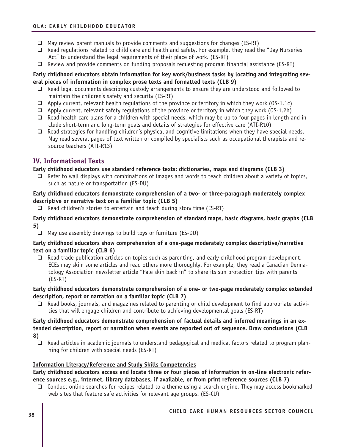- $\Box$  May review parent manuals to provide comments and suggestions for changes (ES-RT)
- $\Box$  Read regulations related to child care and health and safety. For example, they read the "Day Nurseries" Act" to understand the legal requirements of their place of work. (ES-RT)
- $\Box$  Review and provide comments on funding proposals requesting program financial assistance (ES-RT)

#### **Early childhood educators obtain information for key work/business tasks by locating and integrating several pieces of information in complex prose texts and formatted texts (CLB 9)**

- $\Box$  Read legal documents describing custody arrangements to ensure they are understood and followed to maintain the children's safety and security (ES-RT)
- $\Box$  Apply current, relevant health regulations of the province or territory in which they work (0S-1.1c)
- $\Box$  Apply current, relevant safety regulations of the province or territory in which they work (0S-1.2h)
- $\Box$  Read health care plans for a children with special needs, which may be up to four pages in length and include short-term and long-term goals and details of strategies for effective care (ATI-R10)
- $\Box$  Read strategies for handling children's physical and cognitive limitations when they have special needs. May read several pages of text written or compiled by specialists such as occupational therapists and resource teachers (ATI-R13)

## **IV. Informational Texts**

#### **Early childhood educators use standard reference texts: dictionaries, maps and diagrams (CLB 3)**

 $\Box$  Refer to wall displays with combinations of images and words to teach children about a variety of topics, such as nature or transportation (ES-DU)

#### **Early childhood educators demonstrate comprehension of a two- or three-paragraph moderately complex descriptive or narrative text on a familiar topic (CLB 5)**

 $\Box$  Read children's stories to entertain and teach during story time (ES-RT)

#### **Early childhood educators demonstrate comprehension of standard maps, basic diagrams, basic graphs (CLB 5)**

 $\Box$  May use assembly drawings to build toys or furniture (ES-DU)

#### **Early childhood educators show comprehension of a one-page moderately complex descriptive/narrative text on a familiar topic (CLB 6)**

 $\Box$  Read trade publication articles on topics such as parenting, and early childhood program development. ECEs may skim some articles and read others more thoroughly. For example, they read a Canadian Dermatology Association newsletter article "Pale skin back in" to share its sun protection tips with parents (ES-RT)

#### **Early childhood educators demonstrate comprehension of a one- or two-page moderately complex extended description, report or narration on a familiar topic (CLB 7)**

 $\Box$  Read books, journals, and magazines related to parenting or child development to find appropriate activities that will engage children and contribute to achieving developmental goals (ES-RT)

#### **Early childhood educators demonstrate comprehension of factual details and inferred meanings in an extended description, report or narration when events are reported out of sequence. Draw conclusions (CLB 8)**

 Read articles in academic journals to understand pedagogical and medical factors related to program planning for children with special needs (ES-RT)

## **Information Literacy/Reference and Study Skills Competencies**

#### **Early childhood educators access and locate three or four pieces of information in on-line electronic reference sources e.g., internet, library databases, if available, or from print reference sources (CLB 7)**

□ Conduct online searches for recipes related to a theme using a search engine. They may access bookmarked web sites that feature safe activities for relevant age groups. (ES-CU)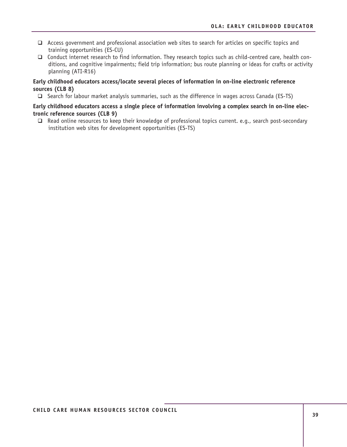- Access government and professional association web sites to search for articles on specific topics and training opportunities (ES-CU)
- Conduct internet research to find information. They research topics such as child-centred care, health conditions, and cognitive impairments; field trip information; bus route planning or ideas for crafts or activity planning (ATI-R16)

#### **Early childhood educators access/locate several pieces of information in on-line electronic reference sources (CLB 8)**

 $\Box$  Search for labour market analysis summaries, such as the difference in wages across Canada (ES-TS)

#### **Early childhood educators access a single piece of information involving a complex search in on-line electronic reference sources (CLB 9)**

 $\Box$  Read online resources to keep their knowledge of professional topics current. e.g., search post-secondary institution web sites for development opportunities (ES-TS)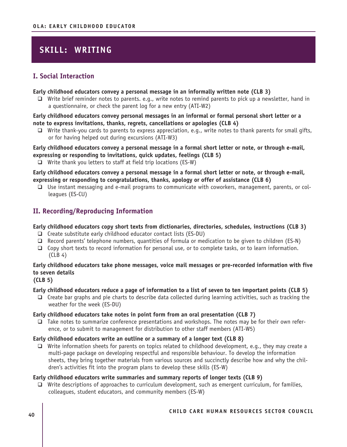## **SKILL: WRITING**

## **I. Social Interaction**

#### **Early childhood educators convey a personal message in an informally written note (CLB 3)**

 $\Box$  Write brief reminder notes to parents. e.g., write notes to remind parents to pick up a newsletter, hand in a questionnaire, or check the parent log for a new entry (ATI-W2)

#### **Early childhood educators convey personal messages in an informal or formal personal short letter or a note to express invitations, thanks, regrets, cancellations or apologies (CLB 4)**

 $\Box$  Write thank-you cards to parents to express appreciation, e.g., write notes to thank parents for small gifts, or for having helped out during excursions (ATI-W3)

#### **Early childhood educators convey a personal message in a formal short letter or note, or through e-mail, expressing or responding to invitations, quick updates, feelings (CLB 5)**

 $\Box$  Write thank you letters to staff at field trip locations (ES-W)

**Early childhood educators convey a personal message in a formal short letter or note, or through e-mail, expressing or responding to congratulations, thanks, apology or offer of assistance (CLB 6)** 

 Use instant messaging and e-mail programs to communicate with coworkers, management, parents, or colleagues (ES-CU)

## **II. Recording/Reproducing Information**

#### **Early childhood educators copy short texts from dictionaries, directories, schedules, instructions (CLB 3)**

- $\Box$  Create substitute early childhood educator contact lists (ES-DU)
- $\Box$  Record parents' telephone numbers, quantities of formula or medication to be given to children (ES-N)
- $\Box$  Copy short texts to record information for personal use, or to complete tasks, or to learn information. (CLB 4)

### **Early childhood educators take phone messages, voice mail messages or pre-recorded information with five to seven details**

#### **(CLB 5)**

#### **Early childhood educators reduce a page of information to a list of seven to ten important points (CLB 5)**

 $\Box$  Create bar graphs and pie charts to describe data collected during learning activities, such as tracking the weather for the week (ES-DU)

#### **Early childhood educators take notes in point form from an oral presentation (CLB 7)**

 $\Box$  Take notes to summarize conference presentations and workshops. The notes may be for their own reference, or to submit to management for distribution to other staff members (ATI-W5)

#### **Early childhood educators write an outline or a summary of a longer text (CLB 8)**

 $\Box$  Write information sheets for parents on topics related to childhood development, e.g., they may create a multi-page package on developing respectful and responsible behaviour. To develop the information sheets, they bring together materials from various sources and succinctly describe how and why the children's activities fit into the program plans to develop these skills (ES-W)

#### **Early childhood educators write summaries and summary reports of longer texts (CLB 9)**

 $\Box$  Write descriptions of approaches to curriculum development, such as emergent curriculum, for families, colleagues, student educators, and community members (ES-W)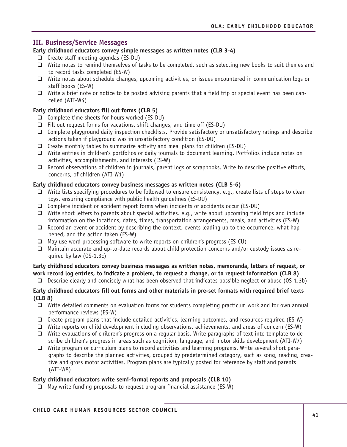## **III. Business/Service Messages**

#### **Early childhood educators convey simple messages as written notes (CLB 3-4)**

- $\Box$  Create staff meeting agendas (ES-DU)
- $\Box$  Write notes to remind themselves of tasks to be completed, such as selecting new books to suit themes and to record tasks completed (ES-W)
- □ Write notes about schedule changes, upcoming activities, or issues encountered in communication logs or staff books (ES-W)
- $\Box$  Write a brief note or notice to be posted advising parents that a field trip or special event has been cancelled (ATI-W4)

## **Early childhood educators fill out forms (CLB 5)**

- $\Box$  Complete time sheets for hours worked (ES-DU)
- $\Box$  Fill out request forms for vacations, shift changes, and time off (ES-DU)
- $\Box$  Complete playground daily inspection checklists. Provide satisfactory or unsatisfactory ratings and describe actions taken if playground was in unsatisfactory condition (ES-DU)
- $\Box$  Create monthly tables to summarize activity and meal plans for children (ES-DU)
- Write entries in children's portfolios or daily journals to document learning. Portfolios include notes on activities, accomplishments, and interests (ES-W)
- □ Record observations of children in journals, parent logs or scrapbooks. Write to describe positive efforts, concerns, of children (ATI-W1)

#### **Early childhood educators convey business messages as written notes (CLB 5-6)**

- $\Box$  Write lists specifying procedures to be followed to ensure consistency. e.g., create lists of steps to clean toys, ensuring compliance with public health guidelines (ES-DU)
- $\Box$  Complete incident or accident report forms when incidents or accidents occur (ES-DU)
- $\Box$  Write short letters to parents about special activities. e.g., write about upcoming field trips and include information on the locations, dates, times, transportation arrangements, meals, and activities (ES-W)
- $\Box$  Record an event or accident by describing the context, events leading up to the occurrence, what happened, and the action taken (ES-W)
- $\Box$  May use word processing software to write reports on children's progress (ES-CU)
- Maintain accurate and up-to-date records about child protection concerns and/or custody issues as required by law (OS-1.3c)

**Early childhood educators convey business messages as written notes, memoranda, letters of request, or work record log entries, to indicate a problem, to request a change, or to request information (CLB 8)**

 $\Box$  Describe clearly and concisely what has been observed that indicates possible neglect or abuse (0S-1.3b)

#### **Early childhood educators fill out forms and other materials in pre-set formats with required brief texts (CLB 8)**

- $\Box$  Write detailed comments on evaluation forms for students completing practicum work and for own annual performance reviews (ES-W)
- $\Box$  Create program plans that include detailed activities, learning outcomes, and resources required (ES-W)
- $\Box$  Write reports on child development including observations, achievements, and areas of concern (ES-W)
- $\Box$  Write evaluations of children's progress on a regular basis. Write paragraphs of text into template to describe children's progress in areas such as cognition, language, and motor skills development (ATI-W7)
- $\Box$  Write program or curriculum plans to record activities and learning programs. Write several short paragraphs to describe the planned activities, grouped by predetermined category, such as song, reading, creative and gross motor activities. Program plans are typically posted for reference by staff and parents (ATI-W8)

#### **Early childhood educators write semi-formal reports and proposals (CLB 10)**

 $\Box$  May write funding proposals to request program financial assistance (ES-W)